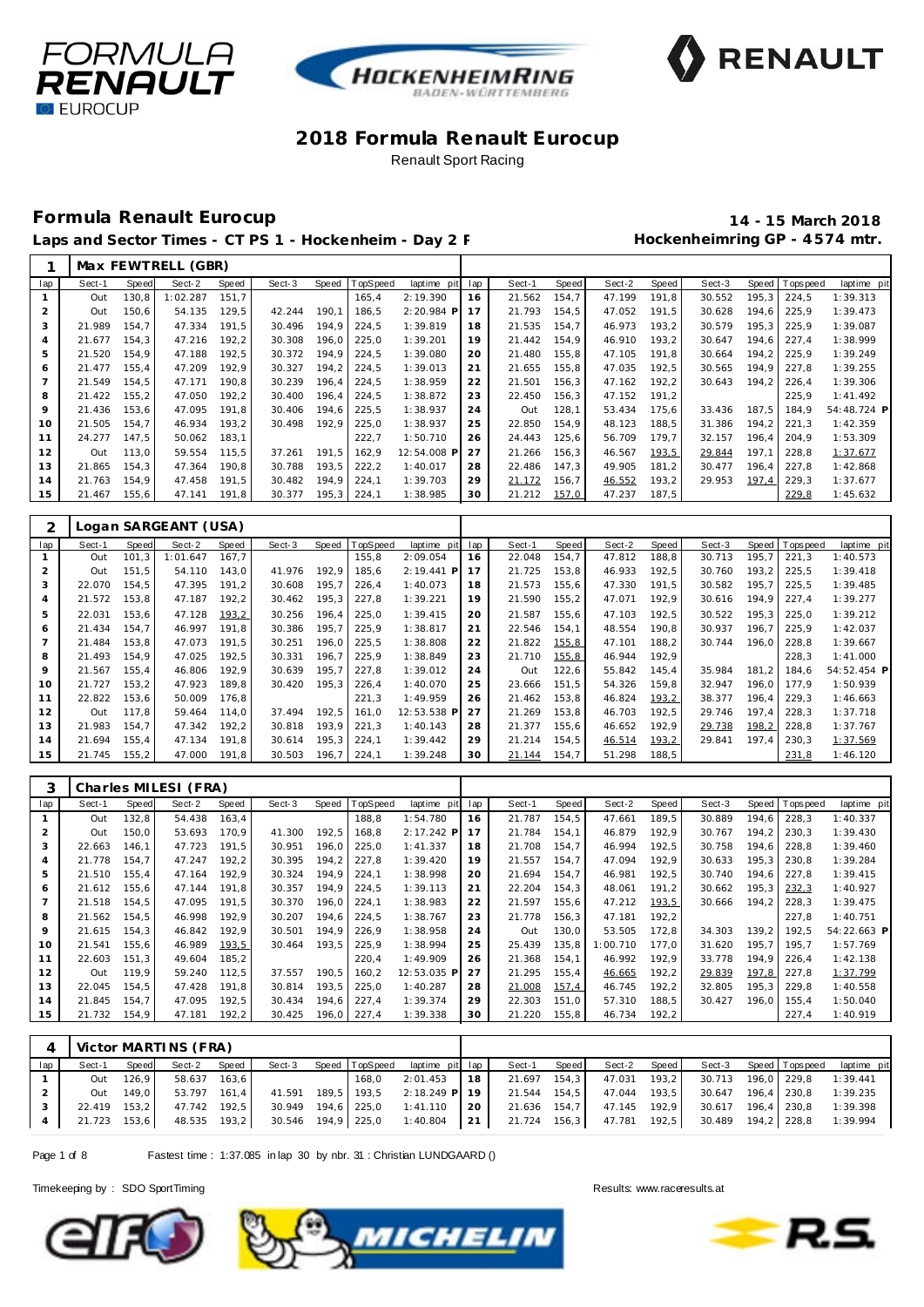





### **Formula Renault Eurocup 14 - 15 March 2018**

Laps and Sector Times - CT PS 1 - Hockenheim - Day 2 F **Manufall Session Hockenheimring GP** - 4574 mtr.

|                |        |       | Max FEWTRELL (GBR) |       |        |       |          |              |     |        |       |        |       |        |       |                  |             |
|----------------|--------|-------|--------------------|-------|--------|-------|----------|--------------|-----|--------|-------|--------|-------|--------|-------|------------------|-------------|
| lap            | Sect-1 | Speed | Sect-2             | Speed | Sect-3 | Speed | TopSpeed | laptime pit  | lap | Sect-1 | Speed | Sect-2 | Speed | Sect-3 |       | Speed   Topspeed | laptime pit |
|                | Out    | 130.8 | 1:02.287           | 151.7 |        |       | 165,4    | 2:19.390     | 16  | 21.562 | 154,7 | 47.199 | 191.8 | 30.552 | 195.3 | 224,5            | 1:39.313    |
| 2              | Out    | 150,6 | 54.135             | 129,5 | 42.244 | 190,1 | 186,5    | $2:20.984$ P |     | 21.793 | 154,5 | 47.052 | 191,5 | 30.628 | 194.6 | 225,9            | 1:39.473    |
| 3              | 21.989 | 154.7 | 47.334             | 191,5 | 30.496 | 194,9 | 224,5    | 1:39.819     | 18  | 21.535 | 154,7 | 46.973 | 193,2 | 30.579 | 195.3 | 225,9            | 1:39.087    |
| $\overline{A}$ | 21.677 | 154.3 | 47.216             | 192,2 | 30.308 | 196.0 | 225,0    | 1:39.201     | 19  | 21.442 | 154.9 | 46.910 | 193.2 | 30.647 | 194.6 | 227,4            | 1:38.999    |
| 5              | 21.520 | 154,9 | 47.188             | 192,5 | 30.372 | 194.9 | 224,5    | 1:39.080     | 20  | 21.480 | 155,8 | 47.105 | 191.8 | 30.664 | 194.2 | 225,9            | 1:39.249    |
| 6              | 21.477 | 155.4 | 47.209             | 192.9 | 30.327 | 194.2 | 224.5    | 1:39.013     | 21  | 21.655 | 155,8 | 47.035 | 192.5 | 30.565 | 194.9 | 227,8            | 1:39.255    |
|                | 21.549 | 154,5 | 47.171             | 190,8 | 30.239 | 196,4 | 224,5    | 1:38.959     | 22  | 21.501 | 156,3 | 47.162 | 192,2 | 30.643 | 194,2 | 226,4            | 1:39.306    |
| 8              | 21.422 | 155,2 | 47.050             | 192,2 | 30.400 | 196.4 | 224,5    | 1:38.872     | 23  | 22.450 | 156,3 | 47.152 | 191,2 |        |       | 225,9            | 1:41.492    |
| 9              | 21.436 | 153,6 | 47.095             | 191,8 | 30.406 | 194,6 | 225,5    | 1:38.937     | 24  | Out    | 128,1 | 53.434 | 175,6 | 33.436 | 187,5 | 184,9            | 54:48.724 P |
| 10             | 21.505 | 154.7 | 46.934             | 193,2 | 30.498 | 192.9 | 225,0    | 1:38.937     | 25  | 22.850 | 154,9 | 48.123 | 188,5 | 31.386 | 194.2 | 221,3            | 1:42.359    |
| 11             | 24.277 | 147.5 | 50.062             | 183,1 |        |       | 222,7    | 1:50.710     | 26  | 24.443 | 125,6 | 56.709 | 179.7 | 32.157 | 196.4 | 204.9            | 1:53.309    |
| 12             | Out    | 113.0 | 59.554             | 115.5 | 37.261 | 191.5 | 162.9    | 12:54.008 P  | 27  | 21.266 | 156.3 | 46.567 | 193,5 | 29.844 | 197.1 | 228,8            | 1:37.677    |
| 13             | 21.865 | 154,3 | 47.364             | 190,8 | 30.788 | 193,5 | 222,2    | 1:40.017     | 28  | 22.486 | 147,3 | 49.905 | 181,2 | 30.477 | 196.4 | 227,8            | 1:42.868    |
| 14             | 21.763 | 154.9 | 47.458             | 191,5 | 30.482 | 194,9 | 224,1    | 1:39.703     | 29  | 21.172 | 156,7 | 46.552 | 193,2 | 29.953 | 197,4 | 229,3            | 1:37.677    |
| 15             | 21.467 | 155,6 | 47.141             | 191,8 | 30.377 | 195,3 | 224,1    | 1:38.985     | 30  | 21.212 | 157,0 | 47.237 | 187,5 |        |       | 229,8            | 1:45.632    |

| ⌒              |        |              | Logan SARGEANT (USA) |       |        |       |          |                |     |        |       |        |       |        |       |          |             |
|----------------|--------|--------------|----------------------|-------|--------|-------|----------|----------------|-----|--------|-------|--------|-------|--------|-------|----------|-------------|
| lap            | Sect-1 | <b>Speed</b> | Sect-2               | Speed | Sect-3 | Speed | TopSpeed | laptime<br>pit | lap | Sect-1 | Speed | Sect-2 | Speed | Sect-3 | Speed | Topspeed | laptime pit |
|                | Out    | 101.3        | 1:01.647             | 167.7 |        |       | 155.8    | 2:09.054       | 16  | 22.048 | 154,7 | 47.812 | 188,8 | 30.713 | 195.7 | 221.3    | 1:40.573    |
| $\overline{2}$ | Out    | 151.5        | 54.110               | 143.0 | 41.976 | 192,9 | 185,6    | $2:19.441$ P   | 17  | 21.725 | 153.8 | 46.933 | 192,5 | 30.760 | 193.2 | 225,5    | 1:39.418    |
| 3              | 22.070 | 154.5        | 47.395               | 191.2 | 30.608 | 195,7 | 226,4    | 1:40.073       | 18  | 21.573 | 155,6 | 47.330 | 191,5 | 30.582 | 195.7 | 225.5    | 1:39.485    |
| 4              | 21.572 | 153,8        | 47.187               | 192,2 | 30.462 | 195,3 | 227,8    | 1:39.221       | 19  | 21.590 | 155,2 | 47.071 | 192,9 | 30.616 | 194.9 | 227,4    | 1:39.277    |
| 5              | 22.031 | 153,6        | 47.128               | 193,2 | 30.256 | 196,4 | 225,0    | 1:39.415       | 20  | 21.587 | 155,6 | 47.103 | 192,5 | 30.522 | 195,3 | 225,0    | 1:39.212    |
| 6              | 21.434 | 154,7        | 46.997               | 191,8 | 30.386 | 195,7 | 225,9    | 1:38.817       | 21  | 22.546 | 154,1 | 48.554 | 190,8 | 30.937 | 196,7 | 225,9    | 1:42.037    |
|                | 21.484 | 153,8        | 47.073               | 191,5 | 30.251 | 196,0 | 225,5    | 1:38.808       | 22  | 21.822 | 155,8 | 47.101 | 188,2 | 30.744 | 196.0 | 228,8    | 1:39.667    |
| 8              | 21.493 | 154,9        | 47.025               | 192,5 | 30.331 | 196,7 | 225,9    | 1:38.849       | 23  | 21.710 | 155,8 | 46.944 | 192,9 |        |       | 228,3    | 1:41.000    |
| 9              | 21.567 | 155,4        | 46.806               | 192,9 | 30.639 | 195,7 | 227,8    | 1:39.012       | 24  | Out    | 122,6 | 55.842 | 145,4 | 35.984 | 181,2 | 184.6    | 54:52.454 P |
| 10             | 21.727 | 153,2        | 47.923               | 189,8 | 30.420 | 195,3 | 226,4    | 1:40.070       | 25  | 23.666 | 151,5 | 54.326 | 159,8 | 32.947 | 196.0 | 177.9    | 1:50.939    |
| 11             | 22.822 | 153,6        | 50.009               | 176,8 |        |       | 221,3    | 1:49.959       | 26  | 21.462 | 153,8 | 46.824 | 193,2 | 38.377 | 196.4 | 229,3    | 1:46.663    |
| 12             | Out    | 117.8        | 59.464               | 114.0 | 37.494 | 192,5 | 161,0    | 12:53.538 P    | 27  | 21.269 | 153,8 | 46.703 | 192,5 | 29.746 | 197.4 | 228,3    | 1:37.718    |
| 13             | 21.983 | 154,7        | 47.342               | 192,2 | 30.818 | 193,9 | 221,3    | 1:40.143       | 28  | 21.377 | 155,6 | 46.652 | 192,9 | 29.738 | 198,2 | 228,8    | 1:37.767    |
| 14             | 21.694 | 155,4        | 47.134               | 191,8 | 30.614 | 195,3 | 224,1    | 1:39.442       | 29  | 21.214 | 154,5 | 46.514 | 193,2 | 29.841 | 197,4 | 230,3    | 1:37.569    |
| 15             | 21.745 | 155.2        | 47.000               | 191,8 | 30.503 | 196.7 | 224,1    | 1:39.248       | 30  | 21.144 | 154.7 | 51.298 | 188,5 |        |       | 231,8    | 1:46.120    |

| 3   |        |       | Charles MILESI (FRA) |       |        |       |          |             |     |        |       |          |       |        |       |            |             |
|-----|--------|-------|----------------------|-------|--------|-------|----------|-------------|-----|--------|-------|----------|-------|--------|-------|------------|-------------|
| lap | Sect-1 | Speed | Sect-2               | Speed | Sect-3 | Speed | TopSpeed | laptime pit | lap | Sect-1 | Speed | Sect-2   | Speed | Sect-3 | Speed | T ops peed | laptime pit |
|     | Out    | 132,8 | 54.438               | 163,4 |        |       | 188,8    | 1:54.780    | 16  | 21.787 | 154,5 | 47.661   | 189,5 | 30.889 | 194,6 | 228,3      | 1:40.337    |
|     | Out    | 150,0 | 53.693               | 170.9 | 41.300 | 192,5 | 168,8    | 2:17.242 P  | 17  | 21.784 | 154,1 | 46.879   | 192,9 | 30.767 | 194,2 | 230,3      | 1:39.430    |
| 3   | 22.663 | 146.1 | 47.723               | 191,5 | 30.951 | 196,0 | 225,0    | 1:41.337    | 18  | 21.708 | 154,7 | 46.994   | 192,5 | 30.758 | 194,6 | 228,8      | 1:39.460    |
| 4   | 21.778 | 154,7 | 47.247               | 192,2 | 30.395 | 194,2 | 227,8    | 1:39.420    | 19  | 21.557 | 154,7 | 47.094   | 192,9 | 30.633 | 195,3 | 230,8      | 1:39.284    |
| 5   | 21.510 | 155,4 | 47.164               | 192,9 | 30.324 | 194,9 | 224,1    | 1:38.998    | 20  | 21.694 | 154,7 | 46.981   | 192,5 | 30.740 | 194.6 | 227,8      | 1:39.415    |
| 6   | 21.612 | 155,6 | 47.144               | 191,8 | 30.357 | 194,9 | 224,5    | 1:39.113    | 21  | 22.204 | 154,3 | 48.061   | 191,2 | 30.662 | 195,3 | 232,3      | 1:40.927    |
|     | 21.518 | 154,5 | 47.095               | 191,5 | 30.370 | 196,0 | 224,1    | 1:38.983    | 22  | 21.597 | 155,6 | 47.212   | 193,5 | 30.666 | 194.2 | 228,3      | 1:39.475    |
| 8   | 21.562 | 154.5 | 46.998               | 192.9 | 30.207 | 194.6 | 224,5    | 1:38.767    | 23  | 21.778 | 156,3 | 47.181   | 192,2 |        |       | 227.8      | 1:40.751    |
| 9   | 21.615 | 154.3 | 46.842               | 192.9 | 30.501 | 194.9 | 226,9    | 1:38.958    | 24  | Out    | 130,0 | 53.505   | 172,8 | 34.303 | 139.2 | 192.5      | 54:22.663 P |
| 10  | 21.541 | 155,6 | 46.989               | 193,5 | 30.464 | 193,5 | 225,9    | 1:38.994    | 25  | 25.439 | 135,8 | 1:00.710 | 177.0 | 31.620 | 195,7 | 195.7      | 1:57.769    |
| 11  | 22.603 | 151.3 | 49.604               | 185,2 |        |       | 220,4    | 1:49.909    | 26  | 21.368 | 154.1 | 46.992   | 192.9 | 33.778 | 194.9 | 226,4      | 1:42.138    |
| 12  | Out    | 119.9 | 59.240               | 112,5 | 37.557 | 190,5 | 160,2    | 12:53.035 P | 27  | 21.295 | 155.4 | 46.665   | 192,2 | 29.839 | 197,8 | 227,8      | 1:37.799    |
| 13  | 22.045 | 154.5 | 47.428               | 191.8 | 30.814 | 193,5 | 225,0    | 1:40.287    | 28  | 21.008 | 157,4 | 46.745   | 192,2 | 32.805 | 195,3 | 229,8      | 1:40.558    |
| 14  | 21.845 | 154.7 | 47.095               | 192,5 | 30.434 | 194,6 | 227,4    | 1:39.374    | 29  | 22.303 | 151.0 | 57.310   | 188,5 | 30.427 | 196.0 | 155,4      | 1:50.040    |
| 15  | 21.732 | 154,9 | 47.181               | 192,2 | 30.425 | 196,0 | 227,4    | 1:39.338    | 30  | 21.220 | 155,8 | 46.734   | 192,2 |        |       | 227,4      | 1:40.919    |

|     |              |       | Victor MARTINS (FRA) |  |       |                                       |           |              |       |                           |                    |                       |             |
|-----|--------------|-------|----------------------|--|-------|---------------------------------------|-----------|--------------|-------|---------------------------|--------------------|-----------------------|-------------|
| lap | Sect-1       | Speed | Sect-2 Speed         |  |       | Sect-3 Speed TopSpeed laptime pit lap |           | Sect-1       | Speed | Sect-2 Speed              |                    | Sect-3 Speed Topspeed | laptime pit |
|     | Out          | 126.9 | 58.637 163,6         |  | 168.0 | 2:01.453                              | <b>18</b> | 21.697 154.3 |       | 47.031 193,2              | 30.713 196,0 229,8 |                       | 1:39.441    |
|     | Out          | 149.0 | 53.797 161.4         |  |       | 41.591 189,5 193,5 2:18.249 P 19      |           | 21.544 154,5 |       | 47.044 193,5              | 30.647 196.4 230.8 |                       | 1:39.235    |
|     | 22.419 153.2 |       | 47.742 192,5         |  |       | 30.949 194,6 225,0 1:41.110           | 20 l      |              |       | 21.636 154,7 47.145 192,9 | 30.617 196.4 230.8 |                       | 1:39.398    |
|     | 21.723 153.6 |       | 48.535 193.2         |  |       | 30.546 194,9 225,0 1:40.804 21        |           |              |       | 21.724 156,3 47.781 192,5 | 30.489 194,2 228,8 |                       | 1:39.994    |

Page 1 of 8 Fastest time : 1:37.085 in lap 30 by nbr. 31 : Christian LUNDGAARD ()





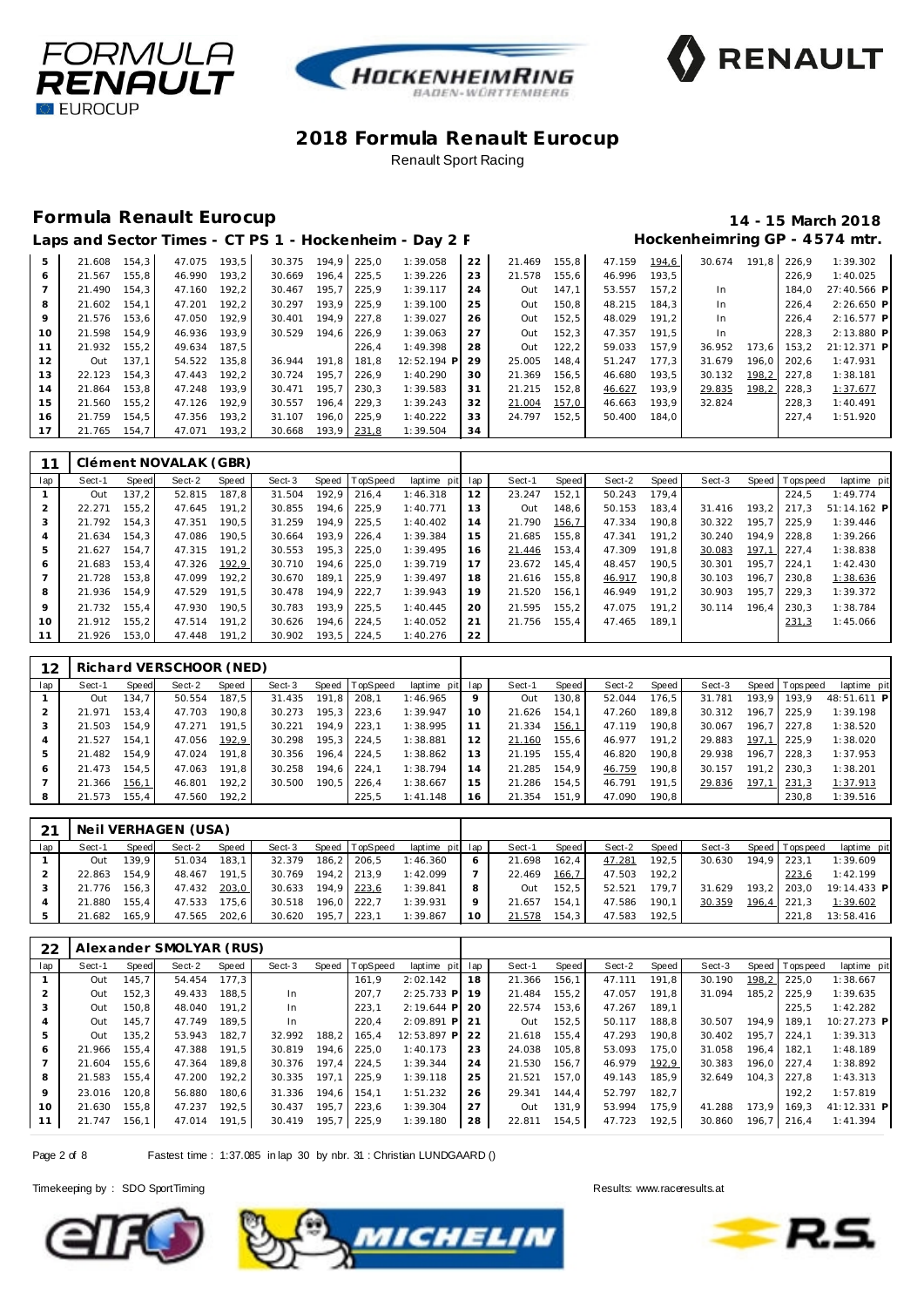





#### **Formula Renault Eurocup 14 - 15 March 2018**

|    |        |        |        |       |        |       |             | Laps and Sector Times - CT PS 1 - Hockenheim - Day 2 F |    |        |        |        |       |        |       |       | Hockenheimring GP - 4574 mtr. |
|----|--------|--------|--------|-------|--------|-------|-------------|--------------------------------------------------------|----|--------|--------|--------|-------|--------|-------|-------|-------------------------------|
| 5  | 21.608 | 154.3  | 47.075 | 193.5 | 30.375 | 194.9 | 225.0       | 1:39.058                                               | 22 | 21.469 | 155, 8 | 47.159 | 194,6 | 30.674 | 191.8 | 226.9 | 1:39.302                      |
| 6  | 21.567 | 155.8  | 46.990 | 193,2 | 30.669 | 196.4 | 225,5       | 1:39.226                                               | 23 | 21.578 | 155,6  | 46.996 | 193,5 |        |       | 226.9 | 1:40.025                      |
|    | 21.490 | 154,3  | 47.160 | 192,2 | 30.467 | 195,7 | 225,9       | 1:39.117                                               | 24 | Out    | 147,1  | 53.557 | 157,2 | In     |       | 184.0 | 27:40.566 P                   |
| 8  | 21.602 | 154.1  | 47.201 | 192,2 | 30.297 | 193.9 | 225.9       | 1:39.100                                               | 25 | Out    | 150, 8 | 48.215 | 184.3 | In     |       | 226.4 | 2:26.650 P                    |
| 9  | 21.576 | 153.6  | 47.050 | 192.9 | 30.401 | 194.9 | 227.8       | 1:39.027                                               | 26 | Out    | 152,5  | 48.029 | 191.2 | In.    |       | 226,4 | 2:16.577 P                    |
| 10 | 21.598 | 154.9  | 46.936 | 193,9 | 30.529 | 194.6 | 226,9       | 1:39.063                                               | 27 | Out    | 152,3  | 47.357 | 191.5 | In.    |       | 228.3 | 2:13.880 P                    |
| 11 | 21.932 | 155, 2 | 49.634 | 187.5 |        |       | 226,4       | 1:49.398                                               | 28 | Out    | 122,2  | 59.033 | 157.9 | 36.952 | 173.6 | 153,2 | 21:12.371 P                   |
| 12 | Out    | 137.1  | 54.522 | 135,8 | 36.944 | 191.8 | 181.8       | 12:52.194 P                                            | 29 | 25.005 | 148,4  | 51.247 | 177.3 | 31.679 | 196.0 | 202.6 | 1:47.931                      |
| 13 | 22.123 | 154.3  | 47.443 | 192,2 | 30.724 | 195.7 | 226.9       | 1:40.290                                               | 30 | 21.369 | 156.5  | 46.680 | 193.5 | 30.132 | 198,2 | 227.8 | 1:38.181                      |
| 14 | 21.864 | 153.8  | 47.248 | 193,9 | 30.471 | 195.7 | 230.3       | 1:39.583                                               | 31 | 21.215 | 152.8  | 46.627 | 193.9 | 29.835 | 198,2 | 228.3 | 1:37.677                      |
| 15 | 21.560 | 155.2  | 47.126 | 192.9 | 30.557 | 196.4 | 229.3       | 1:39.243                                               | 32 | 21.004 | 157,0  | 46.663 | 193,9 | 32.824 |       | 228.3 | 1:40.491                      |
| 16 | 21.759 | 154.5  | 47.356 | 193,2 | 31.107 | 196.0 | 225.9       | 1:40.222                                               | 33 | 24.797 | 152.5  | 50.400 | 184.0 |        |       | 227.4 | 1:51.920                      |
| 17 | 21.765 | 154.7  | 47.071 | 193,2 | 30.668 |       | 193,9 231,8 | 1:39.504                                               | 34 |        |        |        |       |        |       |       |                               |

|                |        |       | Clément NOVALAK (GBR) |       |        |       |                |             |     |        |        |        |       |        |       |            |             |
|----------------|--------|-------|-----------------------|-------|--------|-------|----------------|-------------|-----|--------|--------|--------|-------|--------|-------|------------|-------------|
| lap            | Sect-1 | Speed | Sect-2                | Speed | Sect-3 |       | Speed TopSpeed | laptime pit | lap | Sect-1 | Speed  | Sect-2 | Speed | Sect-3 | Speed | T ops peed | laptime pit |
|                | Out    | 137.2 | 52.815                | 187.8 | 31.504 | 192.9 | 216.4          | 1:46.318    | 12  | 23.247 | 152.1  | 50.243 | 179.4 |        |       | 224.5      | 1:49.774    |
| 2              | 22.271 | 155.2 | 47.645                | 191.2 | 30.855 | 194.6 | 225.9          | 1:40.771    | 13  | Out    | 148.6  | 50.153 | 183.4 | 31.416 | 193.2 | 217.3      | 51:14.162 P |
| 3              | 21.792 | 154.3 | 47.351                | 190.5 | 31.259 | 194.9 | 225.5          | 1:40.402    | 14  | 21.790 | 156, 7 | 47.334 | 190.8 | 30.322 | 195.7 | 225.9      | 1:39.446    |
| $\overline{4}$ | 21.634 | 154.3 | 47.086                | 190.5 | 30.664 | 193.9 | 226.4          | 1:39.384    | 15  | 21.685 | 155.8  | 47.341 | 191.2 | 30.240 | 194.9 | 228.8      | 1:39.266    |
| 5              | 21.627 | 154.7 | 47.315                | 191,2 | 30.553 | 195.3 | 225.0          | 1:39.495    | 16  | 21.446 | 153,4  | 47.309 | 191.8 | 30.083 | 197.1 | 227.4      | 1:38.838    |
| 6              | 21.683 | 153.4 | 47.326                | 192,9 | 30.710 | 194.6 | 225.0          | 1:39.719    | 17  | 23.672 | 145.4  | 48.457 | 190.5 | 30.301 | 195.7 | 224.1      | 1:42.430    |
|                | 21.728 | 153.8 | 47.099                | 192,2 | 30.670 | 189.1 | 225.9          | 1:39.497    | 18  | 21.616 | 155.8  | 46.917 | 190.8 | 30.103 | 196.7 | 230.8      | 1:38.636    |
| 8              | 21.936 | 154.9 | 47.529                | 191.5 | 30.478 | 194.9 | 222.7          | 1:39.943    | 19  | 21.520 | 156.1  | 46.949 | 191.2 | 30.903 | 195.7 | 229.3      | 1:39.372    |
| 9              | 21.732 | 155.4 | 47.930                | 190.5 | 30.783 | 193.9 | 225.5          | 1:40.445    | 20  | 21.595 | 155.2  | 47.075 | 191.2 | 30.114 | 196.4 | 230.3      | 1:38.784    |
| 10             | 21.912 | 155.2 | 47.514                | 191.2 | 30.626 | 194,6 | 224.5          | 1:40.052    | 21  | 21.756 | 155.4  | 47.465 | 189.1 |        |       | 231.3      | 1:45.066    |
| 11             | 21.926 | 153.0 | 47.448                | 191,2 | 30.902 | 193.5 | 224.5          | 1:40.276    | 22  |        |        |        |       |        |       |            |             |

| 12  |        |       | Richard VERSCHOOR (NED) |       |        |       |                |                 |    |        |       |        |       |        |       |                 |             |
|-----|--------|-------|-------------------------|-------|--------|-------|----------------|-----------------|----|--------|-------|--------|-------|--------|-------|-----------------|-------------|
| lap | Sect-1 | Speed | Sect-2                  | Speed | Sect-3 |       | Speed TopSpeed | laptime pit lap |    | Sect-1 | Speed | Sect-2 | Speed | Sect-3 |       | Speed Tops peed | laptime pit |
|     | Out    | 134.7 | 50.554                  | 187.5 | 31.435 | 191.8 | 208.1          | 1:46.965        | 9  | Out    | 130.8 | 52.044 | 176.5 | 31.781 | 193.9 | 193.9           | 48:51.611 P |
|     | 21.971 | 153.4 | 47.703                  | 190.8 | 30.273 | 195.3 | 223.6          | 1:39.947        | 10 | 21.626 | 154.1 | 47.260 | 189.8 | 30.312 | 196.7 | 225.9           | 1:39.198    |
|     | 21.503 | 154.9 | 47.271                  | 191.5 | 30.221 | 194.9 | 223.1          | 1:38.995        |    | 21.334 | 156.1 | 47.119 | 190.8 | 30.067 | 196.7 | 227.8           | 1:38.520    |
|     | 21.527 | 154.1 | 47.056                  | 192.9 | 30.298 | 195.3 | 224.5          | 1:38.881        |    | 21.160 | 155.6 | 46.977 | 191.2 | 29.883 | 197.1 | 225.9           | 1:38.020    |
|     | 21.482 | 154.9 | 47.024                  | 191.8 | 30.356 | 196.4 | 224.5          | 1:38.862        | 13 | 21.195 | 155.4 | 46.820 | 190.8 | 29.938 | 196.7 | 228.3           | 1:37.953    |
| 6   | 21.473 | 154.5 | 47.063                  | 191.8 | 30.258 | 194.6 | 224.1          | 1:38.794        | 14 | 21.285 | 154.9 | 46.759 | 190.8 | 30.157 | 191.2 | 230.3           | 1:38.201    |
|     | 21.366 | 156.1 | 46.801                  | 192.2 | 30.500 | 190.5 | 226.4          | 1:38.667        | 15 | 21.286 | 154.5 | 46.791 | 191.5 | 29.836 | 197.1 | 231,3           | 1:37.913    |
| 8   | 21.573 | 155.4 | 47.560                  | 192.2 |        |       | 225.5          | 1:41.148        | 16 | 21.354 | 151.9 | 47.090 | 190.8 |        |       | 230.8           | 1:39.516    |

| 21  |        |        | Neil VERHAGEN (USA) |              |        |             |                |                 |         |        |       |        |       |        |             |                |             |
|-----|--------|--------|---------------------|--------------|--------|-------------|----------------|-----------------|---------|--------|-------|--------|-------|--------|-------------|----------------|-------------|
| lap | Sect-1 | Speed  | Sect-2              | <b>Speed</b> | Sect-3 |             | Speed TopSpeed | laptime pit lap |         | Sect-1 | Speed | Sect-2 | Speed | Sect-3 |             | Speed Topspeed | laptime pit |
|     | Out    | 139.9  | 51.034              | 183.1        | 32.379 |             | 186,2 206,5    | 1:46.360        |         | 21.698 | 162.4 | 47.281 | 192.5 | 30.630 | 194.9 223.1 |                | 1:39.609    |
|     | 22.863 | 154.9  | 48.467              | 191.5        | 30.769 |             | 194.2 213.9    | 1:42.099        |         | 22.469 | 166,7 | 47.503 | 192.2 |        |             | 223.6          | 1:42.199    |
|     | 21.776 | 156.3  | 47.432              | 203,0        | 30.633 |             | 194,9 223,6    | 1:39.841        |         | Out    | 152.5 | 52.521 | 179.7 | 31.629 |             | $193.2$ 203.0  | 19:14.433 P |
|     | 21.880 | 155.4  | 47.533              | 175.6        | 30.518 |             | 196.0 222.7    | 1:39.931        | $\circ$ | 21.657 | 154.1 | 47.586 | 190.1 | 30.359 |             | 196,4 221,3    | 1:39.602    |
| 5   | 21.682 | 165.91 | 47.565              | 202.6        | 30.620 | 195.7 223.1 |                | 1:39.867        | 10      | 21.578 | 154.3 | 47.583 | 192.5 |        |             | 221.8          | 13:58.416   |

| 22  |        |       | Alexander SMOLYAR (RUS) |       |        |       |          |              |     |        |       |        |       |        |       |                 |             |
|-----|--------|-------|-------------------------|-------|--------|-------|----------|--------------|-----|--------|-------|--------|-------|--------|-------|-----------------|-------------|
| lap | Sect-1 | Speed | Sect-2                  | Speed | Sect-3 | Speed | TopSpeed | laptime pit  | lap | Sect-1 | Speed | Sect-2 | Speed | Sect-3 | Speed | Topspeed        | laptime pit |
|     | Out    | 145.7 | 54.454                  | 177.3 |        |       | 161.9    | 2:02.142     | 18  | 21.366 | 156.1 | 47.111 | 191.8 | 30.190 | 198,2 | 225.0           | 1:38.667    |
|     | Out    | 152.3 | 49.433                  | 188.5 | In.    |       | 207.7    | $2:25.733$ P | 19  | 21.484 | 155.2 | 47.057 | 191.8 | 31.094 | 185.2 | 225.9           | 1:39.635    |
| 3   | Out    | 150.8 | 48.040                  | 191.2 | In.    |       | 223.1    | $2:19.644$ P | 20  | 22.574 | 153.6 | 47.267 | 189.1 |        |       | 225.5           | 1:42.282    |
| 4   | Out    | 145.7 | 47.749                  | 189.5 | In.    |       | 220.4    | $2:09.891$ P | 21  | Out    | 152.5 | 50.117 | 188.8 | 30.507 | 194.9 | 189.1           | 10:27.273 P |
| 5   | Out    | 135,2 | 53.943                  | 182.7 | 32.992 | 188,2 | 165.4    | 12:53.897 P  | 22  | 21.618 | 155.4 | 47.293 | 190.8 | 30.402 | 195.7 | 224.1           | 1:39.313    |
| 6   | 21.966 | 155.4 | 47.388                  | 191.5 | 30.819 | 194.6 | 225.0    | 1:40.173     | 23  | 24.038 | 105.8 | 53.093 | 175.0 | 31.058 | 196.4 | 182.1           | 1:48.189    |
|     | 21.604 | 155.6 | 47.364                  | 189.8 | 30.376 | 197.4 | 224.5    | 1:39.344     | 24  | 21.530 | 156.7 | 46.979 | 192.9 | 30.383 |       | 196.0 227.4     | 1:38.892    |
| 8   | 21.583 | 155.4 | 47.200                  | 192,2 | 30.335 | 197,1 | 225.9    | 1:39.118     | 25  | 21.521 | 157.0 | 49.143 | 185.9 | 32.649 |       | $104.3$   227.8 | 1:43.313    |
| 9   | 23.016 | 120.8 | 56.880                  | 180.6 | 31.336 | 194.6 | 154.1    | 1:51.232     | 26  | 29.341 | 144.4 | 52.797 | 182.7 |        |       | 192.2           | 1:57.819    |
| 10  | 21.630 | 155.8 | 47.237                  | 192.5 | 30.437 | 195.7 | 223,6    | 1:39.304     | 27  | Out    | 131.9 | 53.994 | 175.9 | 41.288 | 173.9 | 169.3           | 41:12.331 P |
| 11  | 21.747 | 156.1 | 47.014                  | 191,5 | 30.419 | 195,7 | 225,9    | 1:39.180     | 28  | 22.811 | 154,5 | 47.723 | 192,5 | 30.860 | 196,7 | 216,4           | 1:41.394    |

Page 2 of 8 Fastest time : 1:37.085 in lap 30 by nbr. 31 : Christian LUNDGAARD ()





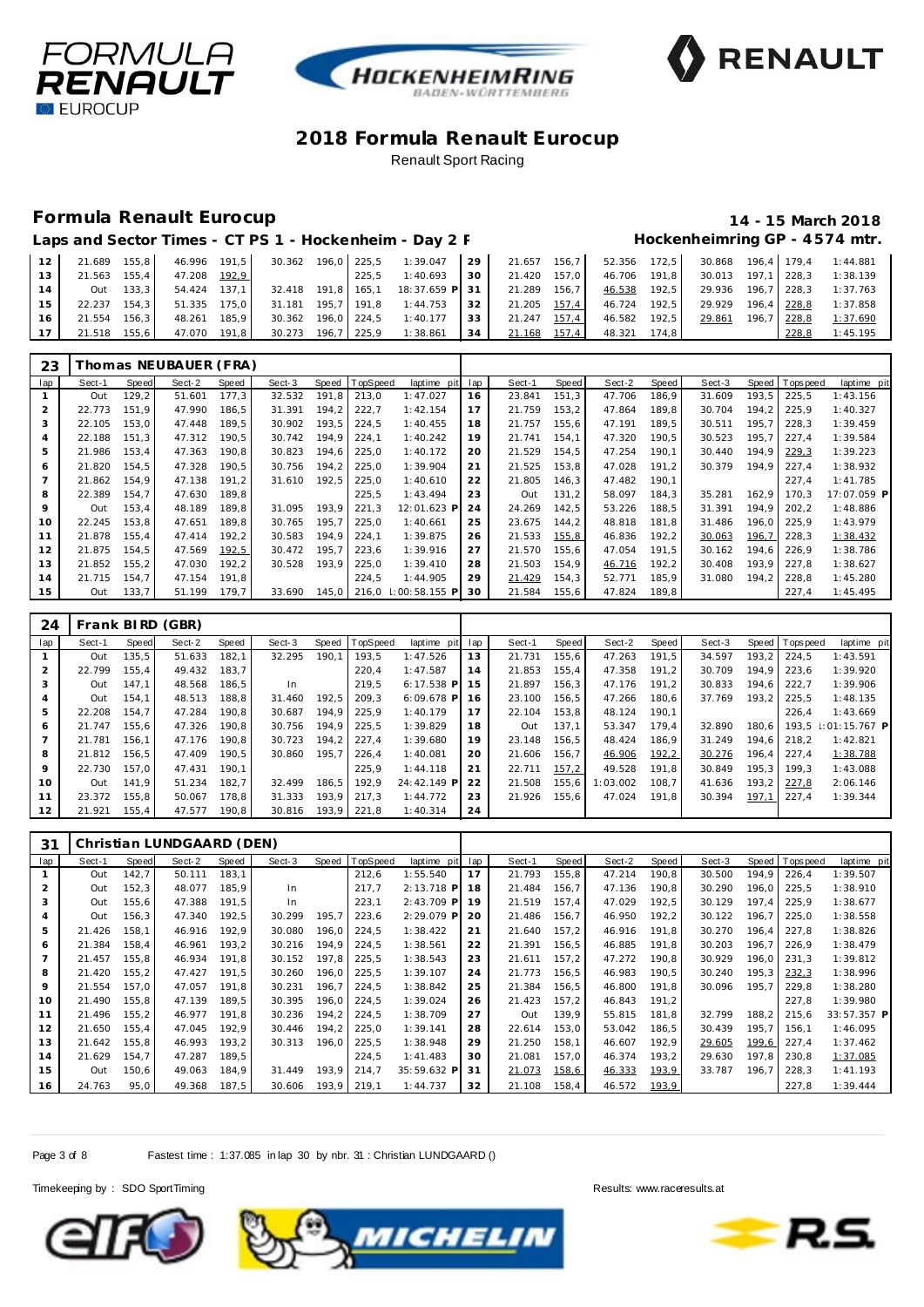





#### **Formula Renault Eurocup 14 - 15 March 2018**

# Hockenheimring GP - 4574 mtr.

| Laps and Sector Times - CT PS 1 - Hockenheim - Day 2 F |  |
|--------------------------------------------------------|--|
|--------------------------------------------------------|--|

| 12 <sub>1</sub> | 21.689     | $155.8$ I | 46.996 191.5 |       | 30.362 |       | 196.0 225.5   | 1:39.047                          | 29 <sub>1</sub> | 21.657 156,7 |       | 52.356 | 172.5                  | 30.868 | 196.4 179.4 |             | 1:44.881 |
|-----------------|------------|-----------|--------------|-------|--------|-------|---------------|-----------------------------------|-----------------|--------------|-------|--------|------------------------|--------|-------------|-------------|----------|
| 13              | 21.563     | 155.4     | 47.208       | 192.9 |        |       | 225.5         | 1:40.693                          | 30              | 21.420       | 157.0 | 46.706 | $191.8$ $\blacksquare$ | 30.013 | 197.1 228.3 |             | 1:38.139 |
|                 | <b>Out</b> | $133.3$   | 54.424 137.1 |       |        |       |               | 32.418 191.8 165.1 18:37.659 P 31 |                 | 21.289 156,7 |       | 46.538 | 192.5                  | 29.936 | 196.7 228.3 |             | 1:37.763 |
| 15              | 22.237     | 154.3     | 51.335       | 175.0 | 31.181 |       | 195.7   191.8 | 1:44.753                          | 32 <sub>1</sub> | 21.205 157,4 |       | 46.724 | 192.5                  | 29.929 |             | 196,4 228,8 | 1:37.858 |
| 16              | 21.554     | 156.3     | 48.261       | 185.9 | 30.362 |       | 196.0 224.5   | 1:40.177                          | 33              | 21.247       | 157,4 | 46.582 | 192.5                  | 29.861 |             | 196,7 228,8 | 1:37.690 |
|                 | 21.518     | 155.6     | 47.070 191.8 |       | 30.273 | 196.7 | 225.9         | 1:38.861                          | 34              | 21.168       | 157,4 | 48.321 | 174.8                  |        |             | 228.8       | 1:45.195 |

| 23  |        |       | Thomas NEUBAUER (FRA) |       |        |       |                |                 |     |        |       |        |       |        |       |                 |             |
|-----|--------|-------|-----------------------|-------|--------|-------|----------------|-----------------|-----|--------|-------|--------|-------|--------|-------|-----------------|-------------|
| lap | Sect-1 | Speed | Sect-2                | Speed | Sect-3 |       | Speed TopSpeed | laptime pit     | lap | Sect-1 | Speed | Sect-2 | Speed | Sect-3 |       | Speed Tops peed | laptime pit |
|     | Out    | 129.2 | 51.601                | 177,3 | 32.532 | 191,8 | 213,0          | 1:47.027        | 16  | 23.841 | 151,3 | 47.706 | 186,9 | 31.609 | 193,5 | 225,5           | 1:43.156    |
| 2   | 22.773 | 151.9 | 47.990                | 186,5 | 31.391 | 194,2 | 222,7          | 1:42.154        | 17  | 21.759 | 153,2 | 47.864 | 189,8 | 30.704 | 194.2 | 225,9           | 1:40.327    |
| 3   | 22.105 | 153.0 | 47.448                | 189.5 | 30.902 | 193.5 | 224.5          | 1:40.455        | 18  | 21.757 | 155,6 | 47.191 | 189,5 | 30.511 | 195.7 | 228.3           | 1:39.459    |
| 4   | 22.188 | 151,3 | 47.312                | 190,5 | 30.742 | 194,9 | 224,1          | 1:40.242        | 19  | 21.741 | 154,1 | 47.320 | 190,5 | 30.523 | 195,7 | 227,4           | 1:39.584    |
| 5   | 21.986 | 153.4 | 47.363                | 190,8 | 30.823 | 194,6 | 225,0          | 1:40.172        | 20  | 21.529 | 154,5 | 47.254 | 190.1 | 30.440 | 194,9 | 229,3           | 1:39.223    |
| 6   | 21.820 | 154.5 | 47.328                | 190,5 | 30.756 | 194,2 | 225,0          | 1:39.904        | 21  | 21.525 | 153,8 | 47.028 | 191,2 | 30.379 | 194.9 | 227,4           | 1:38.932    |
|     | 21.862 | 154.9 | 47.138                | 191.2 | 31.610 | 192.5 | 225,0          | 1:40.610        | 22  | 21.805 | 146,3 | 47.482 | 190,1 |        |       | 227.4           | 1:41.785    |
| 8   | 22.389 | 154.7 | 47.630                | 189.8 |        |       | 225,5          | 1:43.494        | 23  | Out    | 131,2 | 58.097 | 184,3 | 35.281 | 162,9 | 170.3           | 17:07.059 P |
| 9   | Out    | 153.4 | 48.189                | 189.8 | 31.095 | 193.9 | 221.3          | 12:01.623 P     | 24  | 24.269 | 142,5 | 53.226 | 188.5 | 31.391 | 194.9 | 202,2           | 1:48.886    |
| 10  | 22.245 | 153,8 | 47.651                | 189,8 | 30.765 | 195,7 | 225,0          | 1:40.661        | 25  | 23.675 | 144,2 | 48.818 | 181,8 | 31.486 | 196,0 | 225,9           | 1:43.979    |
| 11  | 21.878 | 155.4 | 47.414                | 192,2 | 30.583 | 194,9 | 224,1          | 1:39.875        | 26  | 21.533 | 155,8 | 46.836 | 192,2 | 30.063 | 196,7 | 228,3           | 1:38.432    |
| 12  | 21.875 | 154.5 | 47.569                | 192,5 | 30.472 | 195,7 | 223,6          | 1:39.916        | 27  | 21.570 | 155,6 | 47.054 | 191,5 | 30.162 | 194.6 | 226.9           | 1:38.786    |
| 13  | 21.852 | 155,2 | 47.030                | 192,2 | 30.528 | 193.9 | 225,0          | 1:39.410        | 28  | 21.503 | 154,9 | 46.716 | 192,2 | 30.408 | 193.9 | 227,8           | 1:38.627    |
| 14  | 21.715 | 154.7 | 47.154                | 191,8 |        |       | 224.5          | 1:44.905        | 29  | 21.429 | 154,3 | 52.771 | 185,9 | 31.080 | 194.2 | 228,8           | 1:45.280    |
| 15  | Out    | 133,7 | 51.199                | 179.7 | 33.690 | 145,0 | 216,0          | $1:00:58.155$ P | 30  | 21.584 | 155,6 | 47.824 | 189,8 |        |       | 227,4           | 1:45.495    |

| 24  |        |       | Frank BIRD (GBR) |       |        |       |                |              |     |        |       |          |       |        |       |                |                     |
|-----|--------|-------|------------------|-------|--------|-------|----------------|--------------|-----|--------|-------|----------|-------|--------|-------|----------------|---------------------|
| lap | Sect-1 | Speed | Sect-2           | Speed | Sect-3 |       | Speed TopSpeed | laptime pit  | lap | Sect-1 | Speed | Sect-2   | Speed | Sect-3 |       | Speed Topspeed | laptime pit         |
|     | Out    | 135.5 | 51.633           | 182.1 | 32.295 | 190.1 | 193.5          | 1:47.526     | 13  | 21.731 | 155.6 | 47.263   | 191.5 | 34.597 | 193.2 | 224.5          | 1:43.591            |
|     | 22.799 | 155.4 | 49.432           | 183.7 |        |       | 220.4          | 1:47.587     | 14  | 21.853 | 155.4 | 47.358   | 191.2 | 30.709 | 194.9 | 223.6          | 1:39.920            |
| 3   | Out    | 147.1 | 48.568           | 186.5 | In.    |       | 219.5          | $6:17.538$ P | 15  | 21.897 | 156.3 | 47.176   | 191.2 | 30.833 | 194.6 | 222.7          | 1:39.906            |
| 4   | Out    | 154.1 | 48.513           | 188.8 | 31.460 | 192.5 | 209.3          | $6:09.678$ P | 16  | 23.100 | 156.5 | 47.266   | 180.6 | 37.769 | 193.2 | 225.5          | 1:48.135            |
| 5   | 22.208 | 154.7 | 47.284           | 190.8 | 30.687 | 194.9 | 225.9          | 1:40.179     | 17  | 22.104 | 153.8 | 48.124   | 190.1 |        |       | 226.4          | 1:43.669            |
| 6   | 21.747 | 155.6 | 47.326           | 190.8 | 30.756 | 194.9 | 225.5          | 1:39.829     | 18  | Out    | 137.1 | 53.347   | 179.4 | 32.890 | 180.6 |                | 193.5 : 01:15.767 P |
|     | 21.781 | 156.1 | 47.176           | 190.8 | 30.723 | 194.2 | 227.4          | 1:39.680     | 19  | 23.148 | 156.5 | 48.424   | 186,9 | 31.249 | 194.6 | 218.2          | 1:42.821            |
| 8   | 21.812 | 156,5 | 47.409           | 190.5 | 30.860 | 195,7 | 226.4          | 1:40.081     | 20  | 21.606 | 156.7 | 46.906   | 192,2 | 30.276 | 196,4 | 227.4          | 1:38.788            |
| 9   | 22.730 | 157.0 | 47.431           | 190.1 |        |       | 225.9          | 1:44.118     | 21  | 22.711 | 157,2 | 49.528   | 191.8 | 30.849 | 195.3 | 199.3          | 1:43.088            |
| 10  | Out    | 141.9 | 51.234           | 182.7 | 32.499 | 186.5 | 192.9          | 24:42.149 P  | 22  | 21.508 | 155.6 | 1:03.002 | 108.7 | 41.636 | 193.2 | 227.8          | 2:06.146            |
| 11  | 23.372 | 155.8 | 50.067           | 178.8 | 31.333 | 193.9 | 217.3          | 1:44.772     | 23  | 21.926 | 155.6 | 47.024   | 191.8 | 30.394 | 197,1 | 227.4          | 1:39.344            |
| 12  | 21.921 | 155.4 | 47.577           | 190.8 | 30.816 | 193.9 | 221.8          | 1:40.314     | 24  |        |       |          |       |        |       |                |                     |

| 31  |        |       | Christian LUNDGAARD (DEN) |       |        |       |          |                |     |        |       |        |       |        |       |             |             |
|-----|--------|-------|---------------------------|-------|--------|-------|----------|----------------|-----|--------|-------|--------|-------|--------|-------|-------------|-------------|
| lap | Sect-1 | Speed | Sect-2                    | Speed | Sect-3 | Speed | TopSpeed | laptime<br>pit | lap | Sect-1 | Speed | Sect-2 | Speed | Sect-3 | Speed | T ops pee d | laptime pit |
|     | Out    | 142,7 | 50.111                    | 183,1 |        |       | 212,6    | 1:55.540       | 17  | 21.793 | 155,8 | 47.214 | 190,8 | 30.500 | 194.9 | 226,4       | 1:39.507    |
|     | Out    | 152,3 | 48.077                    | 185,9 | In.    |       | 217,7    | $2:13.718$ P   | 18  | 21.484 | 156,7 | 47.136 | 190,8 | 30.290 | 196,0 | 225,5       | 1:38.910    |
| 3   | Out    | 155,6 | 47.388                    | 191.5 | In.    |       | 223,1    | $2:43.709$ P   | 19  | 21.519 | 157,4 | 47.029 | 192,5 | 30.129 | 197.4 | 225,9       | 1:38.677    |
|     | Out    | 156,3 | 47.340                    | 192,5 | 30.299 | 195,7 | 223,6    | 2:29.079 P     | 20  | 21.486 | 156,7 | 46.950 | 192,2 | 30.122 | 196,7 | 225,0       | 1:38.558    |
| 5   | 21.426 | 158.1 | 46.916                    | 192.9 | 30.080 | 196.0 | 224,5    | 1:38.422       | 21  | 21.640 | 157.2 | 46.916 | 191.8 | 30.270 | 196.4 | 227.8       | 1:38.826    |
| 6   | 21.384 | 158,4 | 46.961                    | 193,2 | 30.216 | 194.9 | 224,5    | 1:38.561       | 22  | 21.391 | 156,5 | 46.885 | 191.8 | 30.203 | 196.7 | 226,9       | 1:38.479    |
|     | 21.457 | 155.8 | 46.934                    | 191.8 | 30.152 | 197.8 | 225,5    | 1:38.543       | 23  | 21.611 | 157.2 | 47.272 | 190.8 | 30.929 | 196.0 | 231.3       | 1:39.812    |
| 8   | 21.420 | 155,2 | 47.427                    | 191,5 | 30.260 | 196.0 | 225,5    | 1:39.107       | 24  | 21.773 | 156,5 | 46.983 | 190,5 | 30.240 | 195,3 | 232,3       | 1:38.996    |
| 9   | 21.554 | 157.0 | 47.057                    | 191.8 | 30.231 | 196.7 | 224,5    | 1:38.842       | 25  | 21.384 | 156,5 | 46.800 | 191.8 | 30.096 | 195.7 | 229.8       | 1:38.280    |
| 10  | 21.490 | 155,8 | 47.139                    | 189.5 | 30.395 | 196,0 | 224,5    | 1:39.024       | 26  | 21.423 | 157,2 | 46.843 | 191,2 |        |       | 227,8       | 1:39.980    |
| 11  | 21.496 | 155,2 | 46.977                    | 191,8 | 30.236 | 194.2 | 224,5    | 1:38.709       | 27  | Out    | 139,9 | 55.815 | 181,8 | 32.799 | 188,2 | 215,6       | 33:57.357 P |
| 12  | 21.650 | 155,4 | 47.045                    | 192.9 | 30.446 | 194.2 | 225,0    | 1:39.141       | 28  | 22.614 | 153,0 | 53.042 | 186,5 | 30.439 | 195,7 | 156,1       | 1:46.095    |
| 13  | 21.642 | 155,8 | 46.993                    | 193,2 | 30.313 | 196,0 | 225,5    | 1:38.948       | 29  | 21.250 | 158,1 | 46.607 | 192,9 | 29.605 | 199,6 | 227,4       | 1:37.462    |
| 14  | 21.629 | 154.7 | 47.287                    | 189.5 |        |       | 224,5    | 1:41.483       | 30  | 21.081 | 157,0 | 46.374 | 193,2 | 29.630 | 197.8 | 230,8       | 1:37.085    |
| 15  | Out    | 150,6 | 49.063                    | 184,9 | 31.449 | 193,9 | 214,7    | 35:59.632 P    | 31  | 21.073 | 158,6 | 46.333 | 193,9 | 33.787 | 196.7 | 228,3       | 1:41.193    |
| 16  | 24.763 | 95,0  | 49.368                    | 187,5 | 30.606 | 193.9 | 219.1    | 1:44.737       | 32  | 21.108 | 158.4 | 46.572 | 193,9 |        |       | 227,8       | 1:39.444    |

Page 3 of 8 Fastest time : 1:37.085 in lap 30 by nbr. 31 : Christian LUNDGAARD ()





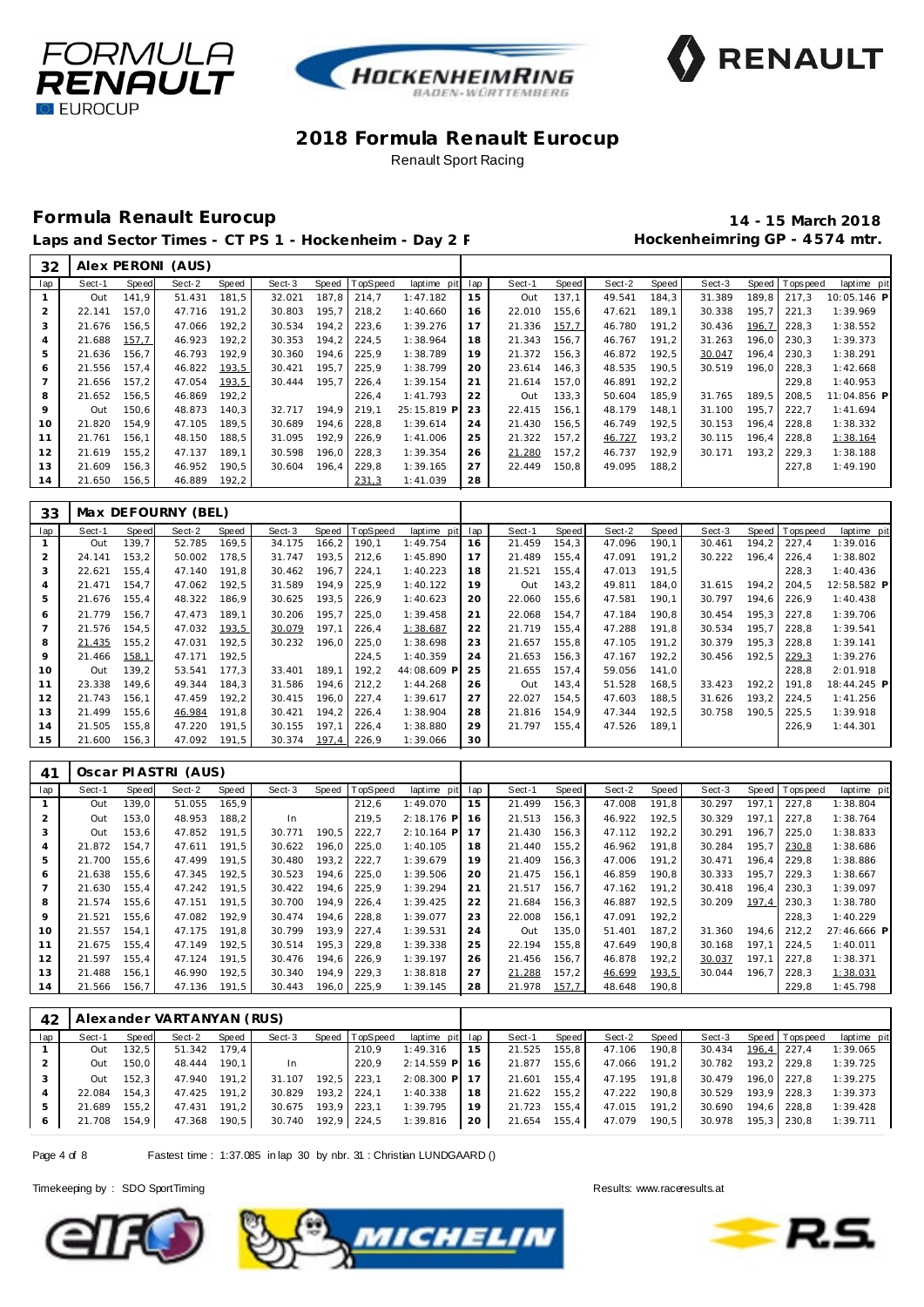





### **Formula Renault Eurocup 14 - 15 March 2018**

Laps and Sector Times - CT PS 1 - Hockenheim - Day 2 F M Session Muscle Hockenheimring GP - 4574 mtr.

| 32             |        |        | Alex PERONI (AUS) |       |        |       |          |                 |     |        |       |        |       |        |       |          |             |
|----------------|--------|--------|-------------------|-------|--------|-------|----------|-----------------|-----|--------|-------|--------|-------|--------|-------|----------|-------------|
| lap            | Sect-1 | Speed  | Sect-2            | Speed | Sect-3 | Speed | TopSpeed | laptime<br>pitl | lap | Sect-1 | Speed | Sect-2 | Speed | Sect-3 | Speed | Topspeed | laptime pit |
|                | Out    | 141.9  | 51.431            | 181,5 | 32.021 | 187.8 | 214.7    | 1:47.182        | 15  | Out    | 137,1 | 49.541 | 184,3 | 31.389 | 189.8 | 217.3    | 10:05.146 P |
| $\overline{2}$ | 22.141 | 157,0  | 47.716            | 191,2 | 30.803 | 195,7 | 218,2    | 1:40.660        | 16  | 22.010 | 155,6 | 47.621 | 189,1 | 30.338 | 195.7 | 221.3    | 1:39.969    |
| 3              | 21.676 | 156,5  | 47.066            | 192,2 | 30.534 | 194,2 | 223,6    | 1:39.276        | 17  | 21.336 | 157,7 | 46.780 | 191,2 | 30.436 | 196,7 | 228,3    | 1:38.552    |
| 4              | 21.688 | 157,7  | 46.923            | 192,2 | 30.353 | 194.2 | 224.5    | 1:38.964        | 18  | 21.343 | 156,7 | 46.767 | 191.2 | 31.263 | 196.0 | 230,3    | 1:39.373    |
| 5              | 21.636 | 156.7  | 46.793            | 192,9 | 30.360 | 194.6 | 225,9    | 1:38.789        | 19  | 21.372 | 156,3 | 46.872 | 192,5 | 30.047 | 196.4 | 230,3    | 1:38.291    |
| 6              | 21.556 | 157,4  | 46.822            | 193,5 | 30.421 | 195,7 | 225,9    | 1:38.799        | 20  | 23.614 | 146,3 | 48.535 | 190,5 | 30.519 | 196.0 | 228,3    | 1:42.668    |
|                | 21.656 | 157.2  | 47.054            | 193,5 | 30.444 | 195.7 | 226,4    | 1:39.154        | 21  | 21.614 | 157.0 | 46.891 | 192,2 |        |       | 229.8    | 1:40.953    |
| 8              | 21.652 | 156,5  | 46.869            | 192,2 |        |       | 226.4    | 1:41.793        | 22  | Out    | 133,3 | 50.604 | 185,9 | 31.765 | 189.5 | 208.5    | 11:04.856 P |
| 9              | Out    | 150.6  | 48.873            | 140,3 | 32.717 | 194.9 | 219.1    | 25:15.819 P     | 23  | 22.415 | 156,1 | 48.179 | 148.1 | 31.100 | 195.7 | 222.7    | 1:41.694    |
| 10             | 21.820 | 154.9  | 47.105            | 189,5 | 30.689 | 194.6 | 228.8    | 1:39.614        | 24  | 21.430 | 156.5 | 46.749 | 192.5 | 30.153 | 196.4 | 228.8    | 1:38.332    |
| 11             | 21.761 | 156.1  | 48.150            | 188,5 | 31.095 | 192.9 | 226,9    | 1:41.006        | 25  | 21.322 | 157,2 | 46.727 | 193,2 | 30.115 | 196.4 | 228,8    | 1:38.164    |
| 12             | 21.619 | 155.2  | 47.137            | 189.1 | 30.598 | 196.0 | 228.3    | 1:39.354        | 26  | 21.280 | 157.2 | 46.737 | 192.9 | 30.171 | 193.2 | 229.3    | 1:38.188    |
| 13             | 21.609 | 156,3  | 46.952            | 190,5 | 30.604 | 196,4 | 229,8    | 1:39.165        | 27  | 22.449 | 150,8 | 49.095 | 188,2 |        |       | 227,8    | 1:49.190    |
| 14             | 21.650 | 156, 5 | 46.889            | 192,2 |        |       | 231,3    | 1:41.039        | 28  |        |       |        |       |        |       |          |             |

| 33             |        |       | Max DEFOURNY (BEL) |       |        |       |          |             |     |        |       |        |       |        |       |                |             |
|----------------|--------|-------|--------------------|-------|--------|-------|----------|-------------|-----|--------|-------|--------|-------|--------|-------|----------------|-------------|
| lap            | Sect-1 | Speed | Sect-2             | Speed | Sect-3 | Speed | TopSpeed | laptime pit | lap | Sect-1 | Speed | Sect-2 | Speed | Sect-3 |       | Speed Topspeed | laptime pit |
|                | Out    | 139.7 | 52.785             | 169,5 | 34.175 | 166,2 | 190,1    | 1:49.754    | 16  | 21.459 | 154,3 | 47.096 | 190,1 | 30.461 | 194,2 | 227,4          | 1:39.016    |
|                | 24.141 | 153,2 | 50.002             | 178,5 | 31.747 | 193,5 | 212,6    | 1:45.890    | 17  | 21.489 | 155,4 | 47.091 | 191,2 | 30.222 | 196.4 | 226,4          | 1:38.802    |
| 3              | 22.621 | 155,4 | 47.140             | 191,8 | 30.462 | 196,7 | 224,1    | 1:40.223    | 18  | 21.521 | 155,4 | 47.013 | 191,5 |        |       | 228,3          | 1:40.436    |
| $\overline{A}$ | 21.471 | 154,7 | 47.062             | 192,5 | 31.589 | 194,9 | 225,9    | 1:40.122    | 19  | Out    | 143,2 | 49.811 | 184,0 | 31.615 | 194,2 | 204,5          | 12:58.582 P |
| 5              | 21.676 | 155,4 | 48.322             | 186,9 | 30.625 | 193,5 | 226,9    | 1:40.623    | 20  | 22.060 | 155,6 | 47.581 | 190,1 | 30.797 | 194.6 | 226,9          | 1:40.438    |
| 6              | 21.779 | 156.7 | 47.473             | 189,1 | 30.206 | 195,7 | 225,0    | 1:39.458    | 21  | 22.068 | 154,7 | 47.184 | 190,8 | 30.454 | 195,3 | 227,8          | 1:39.706    |
|                | 21.576 | 154,5 | 47.032             | 193,5 | 30.079 | 197,1 | 226,4    | 1:38.687    | 22  | 21.719 | 155,4 | 47.288 | 191.8 | 30.534 | 195,7 | 228,8          | 1:39.541    |
| 8              | 21.435 | 155,2 | 47.031             | 192,5 | 30.232 | 196,0 | 225,0    | 1:38.698    | 23  | 21.657 | 155,8 | 47.105 | 191,2 | 30.379 | 195,3 | 228,8          | 1:39.141    |
| 9              | 21.466 | 158,1 | 47.171             | 192,5 |        |       | 224,5    | 1:40.359    | 24  | 21.653 | 156,3 | 47.167 | 192,2 | 30.456 | 192,5 | 229,3          | 1:39.276    |
| 10             | Out    | 139,2 | 53.541             | 177,3 | 33.401 | 189.1 | 192,2    | 44:08.609 P | 25  | 21.655 | 157.4 | 59.056 | 141.0 |        |       | 228.8          | 2:01.918    |
| 11             | 23.338 | 149.6 | 49.344             | 184.3 | 31.586 | 194.6 | 212,2    | 1:44.268    | 26  | Out    | 143,4 | 51.528 | 168,5 | 33.423 | 192.2 | 191.8          | 18:44.245 P |
| 12             | 21.743 | 156.1 | 47.459             | 192,2 | 30.415 | 196.0 | 227,4    | 1:39.617    | 27  | 22.027 | 154.5 | 47.603 | 188,5 | 31.626 | 193.2 | 224.5          | 1:41.256    |
| 13             | 21.499 | 155,6 | 46.984             | 191,8 | 30.421 | 194.2 | 226,4    | 1:38.904    | 28  | 21.816 | 154,9 | 47.344 | 192.5 | 30.758 | 190,5 | 225,5          | 1:39.918    |
| 14             | 21.505 | 155,8 | 47.220             | 191,5 | 30.155 | 197,1 | 226,4    | 1:38.880    | 29  | 21.797 | 155,4 | 47.526 | 189,1 |        |       | 226,9          | 1:44.301    |
| 15             | 21.600 | 156,3 | 47.092             | 191,5 | 30.374 | 197,4 | 226,9    | 1:39.066    | 30  |        |       |        |       |        |       |                |             |

| 41  |        |       | Oscar PIASTRI (AUS) |       |        |       |          |              |     |        |       |        |       |        |       |          |             |
|-----|--------|-------|---------------------|-------|--------|-------|----------|--------------|-----|--------|-------|--------|-------|--------|-------|----------|-------------|
| lap | Sect-1 | Speed | Sect-2              | Speed | Sect-3 | Speed | TopSpeed | laptime pit  | lap | Sect-1 | Speed | Sect-2 | Speed | Sect-3 | Speed | Topspeed | laptime pit |
|     | Out    | 139.0 | 51.055              | 165,9 |        |       | 212,6    | 1:49.070     | 15  | 21.499 | 156,3 | 47.008 | 191,8 | 30.297 | 197.1 | 227.8    | 1:38.804    |
| 2   | Out    | 153.0 | 48.953              | 188.2 | In.    |       | 219,5    | $2:18.176$ P | 16  | 21.513 | 156.3 | 46.922 | 192.5 | 30.329 | 197.1 | 227.8    | 1:38.764    |
| 3   | Out    | 153,6 | 47.852              | 191,5 | 30.771 | 190,5 | 222,7    | $2:10.164$ P | 17  | 21.430 | 156,3 | 47.112 | 192,2 | 30.291 | 196.7 | 225,0    | 1:38.833    |
| 4   | 21.872 | 154.7 | 47.611              | 191,5 | 30.622 | 196,0 | 225,0    | 1:40.105     | 18  | 21.440 | 155,2 | 46.962 | 191.8 | 30.284 | 195.7 | 230,8    | 1:38.686    |
| 5   | 21.700 | 155,6 | 47.499              | 191,5 | 30.480 | 193,2 | 222,7    | 1:39.679     | 19  | 21.409 | 156,3 | 47.006 | 191,2 | 30.471 | 196.4 | 229,8    | 1:38.886    |
| 6   | 21.638 | 155.6 | 47.345              | 192.5 | 30.523 | 194.6 | 225.0    | 1:39.506     | 20  | 21.475 | 156,1 | 46.859 | 190.8 | 30.333 | 195.7 | 229.3    | 1:38.667    |
|     | 21.630 | 155,4 | 47.242              | 191,5 | 30.422 | 194,6 | 225,9    | 1:39.294     | 21  | 21.517 | 156,7 | 47.162 | 191.2 | 30.418 | 196.4 | 230,3    | 1:39.097    |
| 8   | 21.574 | 155,6 | 47.151              | 191,5 | 30.700 | 194,9 | 226,4    | 1:39.425     | 22  | 21.684 | 156,3 | 46.887 | 192,5 | 30.209 | 197.4 | 230.3    | 1:38.780    |
| 9   | 21.521 | 155.6 | 47.082              | 192.9 | 30.474 | 194.6 | 228.8    | 1:39.077     | 23  | 22.008 | 156,1 | 47.091 | 192.2 |        |       | 228.3    | 1:40.229    |
| 10  | 21.557 | 154.1 | 47.175              | 191.8 | 30.799 | 193.9 | 227,4    | 1:39.531     | 24  | Out    | 135,0 | 51.401 | 187.2 | 31.360 | 194.6 | 212,2    | 27:46.666 P |
| 11  | 21.675 | 155.4 | 47.149              | 192.5 | 30.514 | 195.3 | 229.8    | 1:39.338     | 25  | 22.194 | 155.8 | 47.649 | 190.8 | 30.168 | 197.1 | 224.5    | 1:40.011    |
| 12  | 21.597 | 155,4 | 47.124              | 191.5 | 30.476 | 194.6 | 226,9    | 1:39.197     | 26  | 21.456 | 156,7 | 46.878 | 192,2 | 30.037 | 197.1 | 227,8    | 1:38.371    |
| 13  | 21.488 | 156.1 | 46.990              | 192,5 | 30.340 | 194.9 | 229,3    | 1:38.818     | 27  | 21.288 | 157,2 | 46.699 | 193,5 | 30.044 | 196.7 | 228,3    | 1:38.031    |
| 14  | 21.566 | 56.7  | 47.136              | 191,5 | 30.443 | 196.0 | 225,9    | 1:39.145     | 28  | 21.978 | 157,7 | 48.648 | 190,8 |        |       | 229,8    | 1:45.798    |

| 42  |        |       | Alexander VARTANYAN (RUS) |       |                    |             |                |                 |    |              |       |              |       |                    |             |                       |             |
|-----|--------|-------|---------------------------|-------|--------------------|-------------|----------------|-----------------|----|--------------|-------|--------------|-------|--------------------|-------------|-----------------------|-------------|
| lap | Sect-1 | Speed | Sect-2                    | Speed | Sect-3             |             | Speed TopSpeed | laptime pit lap |    | Sect-1       | Speed | Sect-2       | Speed |                    |             | Sect-3 Speed Topspeed | laptime pit |
|     | Out    | 132,5 | 51.342 179.4              |       |                    |             | 210.9          | 1:49.316        | 15 | 21.525       | 155,8 | 47.106       | 190,8 | 30.434 196.4 227.4 |             |                       | 1:39.065    |
|     | Out    | 150.0 | 48.444 190,1              |       | -In                |             | 220.9          | 2:14.559 P 16   |    | 21.877       | 155,6 | 47.066 191,2 |       | 30.782 193,2 229,8 |             |                       | 1:39.725    |
|     | Out    | 152.3 | 47.940 191.2              |       | 31.107             |             | 192.5 223.1    | 2:08.300 P 17   |    | 21.601       | 155.4 | 47.195 191.8 |       | 30.479             | 196.0 227.8 |                       | 1:39.275    |
|     | 22.084 | 154.3 | 47.425 191,2              |       | 30.829             | 193,2 224,1 |                | 1:40.338        | 18 | 21.622 155,2 |       | 47.222 190.8 |       | 30.529             | 193,9 228,3 |                       | 1:39.373    |
| 5   | 21.689 | 155.2 | 47.431 191,2              |       | 30.675             | 193,9 223,1 |                | 1:39.795        | 19 | 21.723 155,4 |       | 47.015 191,2 |       | 30.690             | 194,6 228,8 |                       | 1:39.428    |
| 6   | 21.708 | 154.9 | 47.368 190,5              |       | 30.740 192,9 224,5 |             |                | 1:39.816        | 20 | 21.654 155,4 |       | 47.079       | 190,5 | 30.978 195,3 230,8 |             |                       | 1:39.711    |

Page 4 of 8 Fastest time : 1:37.085 in lap 30 by nbr. 31 : Christian LUNDGAARD ()





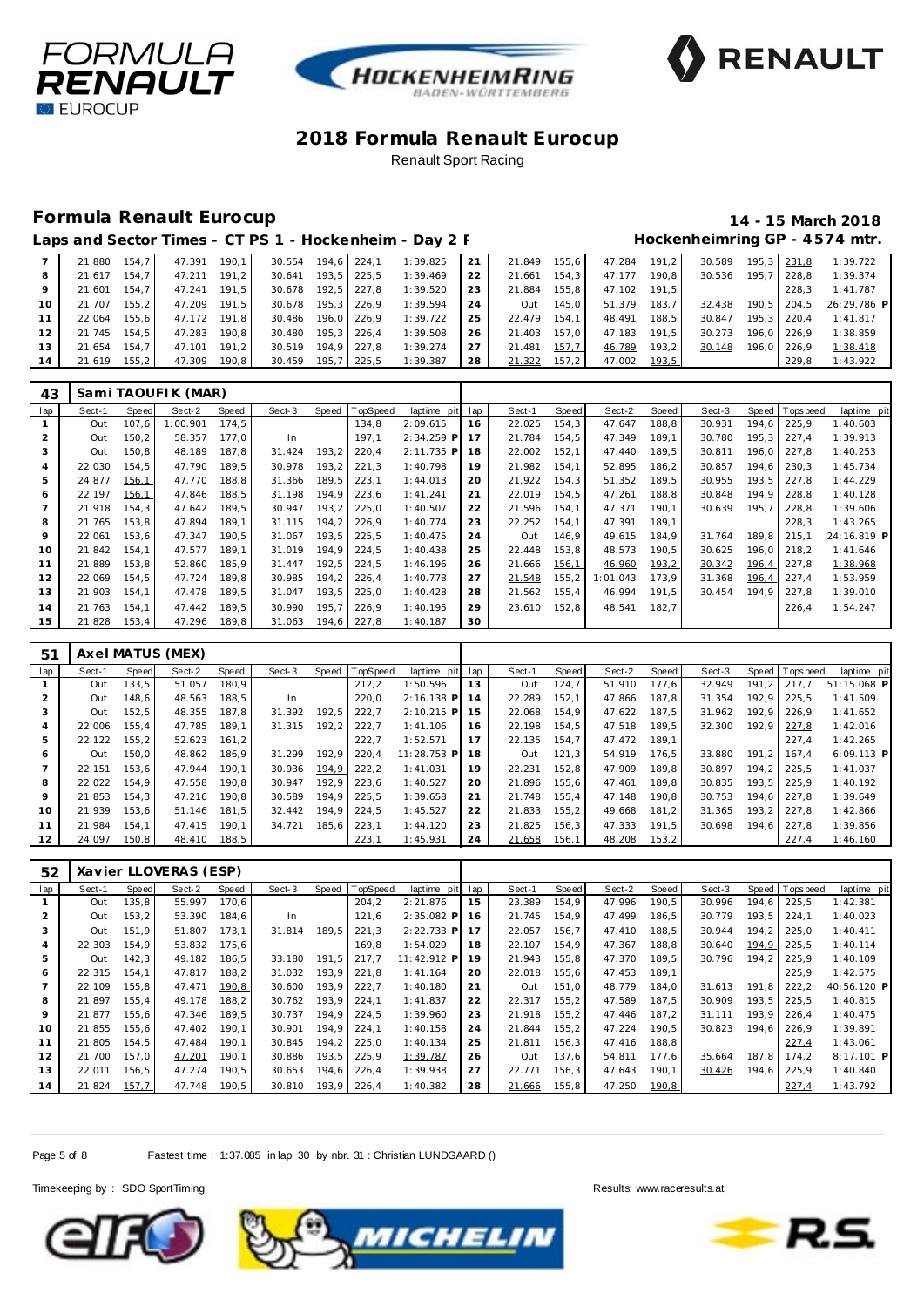





# **Formula Renault Eurocup 14 - 15 March 2018**

|                 |        |       |        |       |        |         |       | Laps and Sector Times - CT PS 1 - Hockenheim - Day 2 F |    |        |        |        |       |        |       |       | Hockenheimring GP - 4574 mtr. |
|-----------------|--------|-------|--------|-------|--------|---------|-------|--------------------------------------------------------|----|--------|--------|--------|-------|--------|-------|-------|-------------------------------|
|                 | 21.880 | 154.7 | 47.391 | 190.1 | 30.554 | 194.6   | 224.1 | 1:39.825                                               | 21 | 21.849 | 155.6  | 47.284 | 191.2 | 30.589 | 195.3 | 231.8 | 1:39.722                      |
| 8               | 21.617 | 154.7 | 47.211 | 191.2 | 30.641 | 193.5   | 225.5 | 1:39.469                                               | 22 | 21.661 | 154.3  | 47.177 | 190.8 | 30.536 | 195.7 | 228.8 | 1:39.374                      |
| 9               | 21.601 | 154.7 | 47.241 | 191.5 | 30.678 | 192.5   | 227.8 | 1:39.520                                               | 23 | 21.884 | 155, 8 | 47.102 | 191.5 |        |       | 228.3 | 1:41.787                      |
| 10 <sup>°</sup> | 21.707 | 155.2 | 47.209 | 191.5 | 30.678 | $195.3$ | 226.9 | 1:39.594                                               | 24 | Out    | 145.0  | 51.379 | 183.7 | 32.438 | 190.5 | 204.5 | 26:29.786 P                   |
|                 | 22.064 | 155.6 | 47.172 | 191.8 | 30.486 | 196.0   | 226.9 | 1:39.722                                               | 25 | 22.479 | 154.1  | 48.491 | 188.5 | 30.847 | 195.3 | 220.4 | 1:41.817                      |
| 12              | 21.745 | 154.5 | 47.283 | 190.8 | 30.480 | $195.3$ | 226.4 | 1:39.508                                               | 26 | 21.403 | 157.0  | 47.183 | 191.5 | 30.273 | 196.0 | 226.9 | 1:38.859                      |
| 13              | 21.654 | 154.7 | 47.101 | 191.2 | 30.519 | 194.9   | 227.8 | 1:39.274                                               | 27 | 21.481 | 157,7  | 46.789 | 193,2 | 30.148 | 196.0 | 226.9 | 1:38.418                      |
| 14              | 21.619 | 155.2 | 47.309 | 190.8 | 30.459 | 195.7   | 225.5 | 1:39.387                                               | 28 | 21.322 | 157.2  | 47.002 | 193,5 |        |       | 229.8 | 1:43.922                      |

| 43             |        |       | Sami TAOUFIK (MAR) |       |        |       |          |              |     |        |       |          |       |        |       |                |             |
|----------------|--------|-------|--------------------|-------|--------|-------|----------|--------------|-----|--------|-------|----------|-------|--------|-------|----------------|-------------|
| lap            | Sect-1 | Speed | Sect-2             | Speed | Sect-3 | Speed | TopSpeed | laptime pit  | lap | Sect-1 | Speed | Sect-2   | Speed | Sect-3 |       | Speed Topspeed | laptime pit |
|                | Out    | 107.6 | 1:00.901           | 174.5 |        |       | 134,8    | 2:09.615     | 16  | 22.025 | 154,3 | 47.647   | 188,8 | 30.931 | 194.6 | 225.9          | 1:40.603    |
| 2              | Out    | 150,2 | 58.357             | 177.0 | In.    |       | 197,1    | $2:34.259$ P | 17  | 21.784 | 154,5 | 47.349   | 189.1 | 30.780 | 195,3 | 227,4          | 1:39.913    |
| 3              | Out    | 150,8 | 48.189             | 187.8 | 31.424 | 193,2 | 220,4    | $2:11.735$ P | 18  | 22.002 | 152,1 | 47.440   | 189.5 | 30.811 | 196,0 | 227.8          | 1:40.253    |
| 4              | 22.030 | 154.5 | 47.790             | 189.5 | 30.978 | 193.2 | 221,3    | 1:40.798     | 19  | 21.982 | 154.1 | 52.895   | 186,2 | 30.857 | 194.6 | 230,3          | 1:45.734    |
| 5              | 24.877 | 156,1 | 47.770             | 188,8 | 31.366 | 189,5 | 223,1    | 1:44.013     | 20  | 21.922 | 154,3 | 51.352   | 189,5 | 30.955 | 193.5 | 227,8          | 1:44.229    |
| 6              | 22.197 | 156,1 | 47.846             | 188,5 | 31.198 | 194,9 | 223,6    | 1:41.241     | 21  | 22.019 | 154,5 | 47.261   | 188,8 | 30.848 | 194.9 | 228.8          | 1:40.128    |
| $\overline{7}$ | 21.918 | 154.3 | 47.642             | 189,5 | 30.947 | 193,2 | 225,0    | 1:40.507     | 22  | 21.596 | 154,1 | 47.371   | 190.1 | 30.639 | 195.7 | 228.8          | 1:39.606    |
| 8              | 21.765 | 153,8 | 47.894             | 189.1 | 31.115 | 194,2 | 226,9    | 1:40.774     | 23  | 22.252 | 154,1 | 47.391   | 189.1 |        |       | 228,3          | 1:43.265    |
| 9              | 22.061 | 153,6 | 47.347             | 190.5 | 31.067 | 193.5 | 225,5    | 1:40.475     | 24  | Out    | 146,9 | 49.615   | 184.9 | 31.764 | 189.8 | 215.1          | 24:16.819 P |
| 10             | 21.842 | 154.1 | 47.577             | 189.1 | 31.019 | 194,9 | 224,5    | 1:40.438     | 25  | 22.448 | 153,8 | 48.573   | 190,5 | 30.625 |       | 196,0 218,2    | 1:41.646    |
| 11             | 21.889 | 153,8 | 52.860             | 185.9 | 31.447 | 192,5 | 224,5    | 1:46.196     | 26  | 21.666 | 156,1 | 46.960   | 193,2 | 30.342 | 196,4 | 227,8          | 1:38.968    |
| 12             | 22.069 | 154,5 | 47.724             | 189.8 | 30.985 | 194,2 | 226,4    | 1:40.778     | 27  | 21.548 | 155,2 | 1:01.043 | 173,9 | 31.368 | 196,4 | 227,4          | 1:53.959    |
| 13             | 21.903 | 154,1 | 47.478             | 189,5 | 31.047 | 193,5 | 225,0    | 1:40.428     | 28  | 21.562 | 155,4 | 46.994   | 191,5 | 30.454 | 194.9 | 227,8          | 1:39.010    |
| 14             | 21.763 | 154.1 | 47.442             | 189.5 | 30.990 | 195,7 | 226,9    | 1:40.195     | 29  | 23.610 | 152,8 | 48.541   | 182,7 |        |       | 226,4          | 1:54.247    |
| 15             | 21.828 | 153,4 | 47.296             | 189,8 | 31.063 | 194.6 | 227,8    | 1:40.187     | 30  |        |       |          |       |        |       |                |             |

| 51             |        |       | Axel MATUS (MEX) |       |        |       |                 |              |     |        |       |        |        |        |       |                |              |
|----------------|--------|-------|------------------|-------|--------|-------|-----------------|--------------|-----|--------|-------|--------|--------|--------|-------|----------------|--------------|
| lap            | Sect-1 | Speed | Sect-2           | Speed | Sect-3 | Speed | <b>TopSpeed</b> | laptime pit  | lap | Sect-1 | Speed | Sect-2 | Speed  | Sect-3 |       | Speed Topspeed | laptime pit  |
|                | Out    | 133,5 | 51.057           | 180.9 |        |       | 212,2           | 1:50.596     | 13  | Out    | 124,7 | 51.910 | 177.6  | 32.949 | 191.2 | 217.7          | 51:15.068 P  |
| $\overline{2}$ | Out    | 148,6 | 48.563           | 188.5 | In.    |       | 220.0           | $2:16.138$ P | 14  | 22.289 | 152.1 | 47.866 | 187.8  | 31.354 | 192.9 | 225.5          | 1:41.509     |
| 3              | Out    | 152.5 | 48.355           | 187.8 | 31.392 | 192.5 | 222.7           | $2:10.215$ P | 15  | 22.068 | 154.9 | 47.622 | 187.5  | 31.962 | 192.9 | 226.9          | 1:41.652     |
| 4              | 22.006 | 155.4 | 47.785           | 189.1 | 31.315 | 192.2 | 222.7           | 1:41.106     | 16  | 22.198 | 154.5 | 47.518 | 189.5  | 32.300 | 192.9 | 227,8          | 1:42.016     |
| 5              | 22.122 | 155,2 | 52.623           | 161.2 |        |       | 222.7           | 1:52.571     | 17  | 22.135 | 154.7 | 47.472 | 189.1  |        |       | 227.4          | 1:42.265     |
| 6              | Out    | 150.0 | 48.862           | 186.9 | 31.299 | 192.9 | 220.4           | 11:28.753 P  | 18  | Out    | 121,3 | 54.919 | 176.5  | 33.880 | 191.2 | 167.4          | $6:09.113$ P |
| $\overline{7}$ | 22.151 | 153.6 | 47.944           | 190.1 | 30.936 | 194,9 | 222.2           | 1:41.031     | 19  | 22.231 | 152.8 | 47.909 | 189.8  | 30.897 | 194.2 | 225.5          | 1:41.037     |
| 8              | 22.022 | 154.9 | 47.558           | 190.8 | 30.947 | 192.9 | 223.6           | 1:40.527     | 20  | 21.896 | 155.6 | 47.461 | 189.8  | 30.835 | 193.5 | 225.9          | 1:40.192     |
| 9              | 21.853 | 154.3 | 47.216           | 190.8 | 30.589 | 194,9 | 225.5           | 1:39.658     | 21  | 21.748 | 155.4 | 47.148 | 190.8  | 30.753 | 194.6 | 227,8          | 1:39.649     |
| 10             | 21.939 | 153.6 | 51.146           | 181.5 | 32.442 | 194,9 | 224.5           | 1:45.527     | 22  | 21.833 | 155.2 | 49.668 | 181.2  | 31.365 | 193.2 | 227,8          | 1:42.866     |
| 11             | 21.984 | 154.1 | 47.415           | 190.1 | 34.721 | 185.6 | 223.1           | 1:44.120     | 23  | 21.825 | 156,3 | 47.333 | 191,5  | 30.698 | 194.6 | 227,8          | 1:39.856     |
| 12             | 24.097 | 150.8 | 48.410           | 188,5 |        |       | 223.1           | 1:45.931     | 24  | 21.658 | 156,1 | 48.208 | 153, 2 |        |       | 227.4          | 1:46.160     |

| 52             |        |       | Xavier LLOVERAS (ESP) |       |        |       |                |              |     |        |       |        |       |        |       |                |             |
|----------------|--------|-------|-----------------------|-------|--------|-------|----------------|--------------|-----|--------|-------|--------|-------|--------|-------|----------------|-------------|
| lap            | Sect-1 | Speed | Sect-2                | Speed | Sect-3 |       | Speed TopSpeed | laptime pit  | lap | Sect-1 | Speed | Sect-2 | Speed | Sect-3 |       | Speed Topspeed | laptime pit |
|                | Out    | 135,8 | 55.997                | 170,6 |        |       | 204,2          | 2:21.876     | 15  | 23.389 | 154,9 | 47.996 | 190,5 | 30.996 | 194.6 | 225,5          | 1:42.381    |
| $\overline{2}$ | Out    | 153,2 | 53.390                | 184.6 | In.    |       | 121.6          | 2:35.082 P   | 16  | 21.745 | 154.9 | 47.499 | 186,5 | 30.779 | 193.5 | 224.1          | 1:40.023    |
| 3              | Out    | 151.9 | 51.807                | 173.1 | 31.814 | 189.5 | 221.3          | $2:22.733$ P | 17  | 22.057 | 156.7 | 47.410 | 188.5 | 30.944 | 194.2 | 225.0          | 1:40.411    |
| 4              | 22.303 | 154.9 | 53.832                | 175,6 |        |       | 169.8          | 1:54.029     | 18  | 22.107 | 154.9 | 47.367 | 188,8 | 30.640 | 194,9 | 225,5          | 1:40.114    |
| 5              | Out    | 142,3 | 49.182                | 186,5 | 33.180 | 191.5 | 217.7          | 11:42.912 P  | 19  | 21.943 | 155,8 | 47.370 | 189.5 | 30.796 | 194.2 | 225,9          | 1:40.109    |
| 6              | 22.315 | 154.1 | 47.817                | 188.2 | 31.032 | 193.9 | 221,8          | 1:41.164     | 20  | 22.018 | 155,6 | 47.453 | 189.1 |        |       | 225.9          | 1:42.575    |
|                | 22.109 | 155.8 | 47.471                | 190,8 | 30.600 | 193.9 | 222,7          | 1:40.180     | 21  | Out    | 151.0 | 48.779 | 184.0 | 31.613 | 191.8 | 222,2          | 40:56.120 P |
| 8              | 21.897 | 155.4 | 49.178                | 188,2 | 30.762 | 193.9 | 224,1          | 1:41.837     | 22  | 22.317 | 155,2 | 47.589 | 187.5 | 30.909 | 193.5 | 225,5          | 1:40.815    |
| 9              | 21.877 | 155.6 | 47.346                | 189.5 | 30.737 | 194,9 | 224,5          | 1:39.960     | 23  | 21.918 | 155.2 | 47.446 | 187.2 | 31.111 | 193.9 | 226.4          | 1:40.475    |
| 10             | 21.855 | 155.6 | 47.402                | 190.1 | 30.901 | 194,9 | 224,1          | 1:40.158     | 24  | 21.844 | 155,2 | 47.224 | 190.5 | 30.823 | 194.6 | 226,9          | 1:39.891    |
| 11             | 21.805 | 154.5 | 47.484                | 190.1 | 30.845 | 194.2 | 225,0          | 1:40.134     | 25  | 21.811 | 156,3 | 47.416 | 188,8 |        |       | 227.4          | 1:43.061    |
| 12             | 21.700 | 157.0 | 47.201                | 190.1 | 30.886 | 193,5 | 225,9          | 1:39.787     | 26  | Out    | 137.6 | 54.811 | 177.6 | 35.664 | 187.8 | 174.2          | 8:17.101 P  |
| 13             | 22.011 | 156,5 | 47.274                | 190.5 | 30.653 | 194,6 | 226,4          | 1:39.938     | 27  | 22.771 | 156,3 | 47.643 | 190.1 | 30.426 | 194.6 | 225,9          | 1:40.840    |
| 14             | 21.824 | 157.7 | 47.748                | 190.5 | 30.810 | 193.9 | 226,4          | 1:40.382     | 28  | 21.666 | 155,8 | 47.250 | 190,8 |        |       | 227.4          | 1:43.792    |

Page 5 of 8 Fastest time : 1:37.085 in lap 30 by nbr. 31 : Christian LUNDGAARD ()





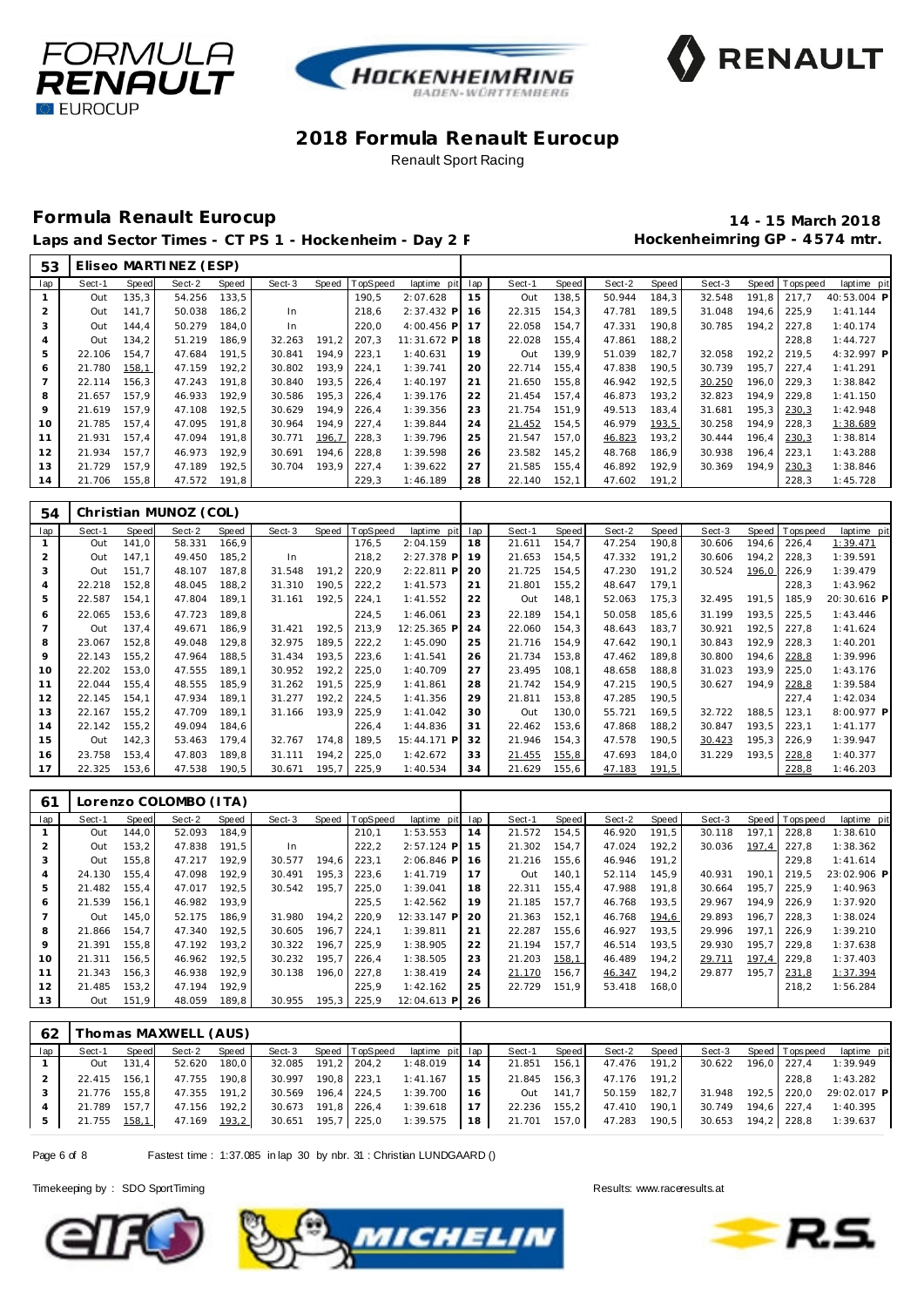





# **Formula Renault Eurocup 14 - 15 March 2018**

Laps and Sector Times - CT PS 1 - Hockenheim - Day 2 F M Session Muscle Hockenheimring GP - 4574 mtr.

| 53  |        |       | Eliseo MARTINEZ (ESP) |       |        |       |          |                |     |        |       |        |       |        |       |                 |             |
|-----|--------|-------|-----------------------|-------|--------|-------|----------|----------------|-----|--------|-------|--------|-------|--------|-------|-----------------|-------------|
| lap | Sect-1 | Speed | Sect-2                | Speed | Sect-3 | Speed | TopSpeed | laptime<br>pit | lap | Sect-1 | Speed | Sect-2 | Speed | Sect-3 |       | Speed Tops peed | laptime pit |
|     | Out    | 135,3 | 54.256                | 133,5 |        |       | 190.5    | 2:07.628       | 15  | Out    | 138,5 | 50.944 | 184,3 | 32.548 | 191.8 | 217.7           | 40:53.004 P |
|     | Out    | 141.7 | 50.038                | 186.2 | In     |       | 218.6    | $2:37.432$ P   | 16  | 22.315 | 154.3 | 47.781 | 189.5 | 31.048 | 194.6 | 225.9           | 1:41.144    |
| 3   | Out    | 144,4 | 50.279                | 184.0 | In.    |       | 220,0    | $4:00.456$ P   | 17  | 22.058 | 154,7 | 47.331 | 190,8 | 30.785 | 194.2 | 227.8           | 1:40.174    |
|     | Out    | 134,2 | 51.219                | 186.9 | 32.263 | 191.2 | 207.3    | 11:31.672 P    | 18  | 22.028 | 155,4 | 47.861 | 188,2 |        |       | 228.8           | 1:44.727    |
| 5   | 22.106 | 154.7 | 47.684                | 191,5 | 30.841 | 194.9 | 223,1    | 1:40.631       | 19  | Out    | 139,9 | 51.039 | 182,7 | 32.058 | 192.2 | 219.5           | 4:32.997 P  |
| 6   | 21.780 | 158,1 | 47.159                | 192,2 | 30.802 | 193,9 | 224,1    | 1:39.741       | 20  | 22.714 | 155,4 | 47.838 | 190,5 | 30.739 | 195.7 | 227.4           | 1:41.291    |
|     | 22.114 | 156.3 | 47.243                | 191.8 | 30.840 | 193.5 | 226,4    | 1:40.197       | 21  | 21.650 | 155.8 | 46.942 | 192,5 | 30.250 | 196.0 | 229.3           | 1:38.842    |
| 8   | 21.657 | 157.9 | 46.933                | 192.9 | 30.586 | 195,3 | 226,4    | 1:39.176       | 22  | 21.454 | 157.4 | 46.873 | 193,2 | 32.823 | 194.9 | 229.8           | 1:41.150    |
| 9   | 21.619 | 157.9 | 47.108                | 192,5 | 30.629 | 194.9 | 226,4    | 1:39.356       | 23  | 21.754 | 151.9 | 49.513 | 183,4 | 31.681 | 195.3 | 230,3           | 1:42.948    |
| 10  | 21.785 | 157.4 | 47.095                | 191,8 | 30.964 | 194,9 | 227,4    | 1:39.844       | 24  | 21.452 | 154,5 | 46.979 | 193,5 | 30.258 | 194.9 | 228,3           | 1:38.689    |
| 11  | 21.931 | 157.4 | 47.094                | 191,8 | 30.771 | 196,7 | 228,3    | 1:39.796       | 25  | 21.547 | 157.0 | 46.823 | 193,2 | 30.444 | 196.4 | 230,3           | 1:38.814    |
| 12  | 21.934 | 157.7 | 46.973                | 192,9 | 30.691 | 194.6 | 228,8    | 1:39.598       | 26  | 23.582 | 145,2 | 48.768 | 186,9 | 30.938 | 196.4 | 223,1           | 1:43.288    |
| 13  | 21.729 | 157.9 | 47.189                | 192,5 | 30.704 | 193.9 | 227,4    | 1:39.622       | 27  | 21.585 | 155.4 | 46.892 | 192.9 | 30.369 | 194.9 | 230,3           | 1:38.846    |
| 14  | 21.706 | 155,8 | 47.572                | 191,8 |        |       | 229,3    | 1:46.189       | 28  | 22.140 | 152,1 | 47.602 | 191,2 |        |       | 228,3           | 1:45.728    |

| 54             |        |       | Christian MUNOZ (COL) |       |        |       |         |             |     |        |       |        |       |        |       |                |             |
|----------------|--------|-------|-----------------------|-------|--------|-------|---------|-------------|-----|--------|-------|--------|-------|--------|-------|----------------|-------------|
| lap            | Sect-1 | Speed | Sect-2                | Speed | Sect-3 | Speed | opSpeed | laptime pit | lap | Sect-1 | Speed | Sect-2 | Speed | Sect-3 |       | Speed Topspeed | laptime pit |
|                | Out    | 141.0 | 58.331                | 166,9 |        |       | 176,5   | 2:04.159    | 18  | 21.611 | 154,7 | 47.254 | 190,8 | 30.606 | 194.6 | 226,4          | 1:39.471    |
| $\overline{2}$ | Out    | 147.1 | 49.450                | 185,2 | In     |       | 218,2   | 2:27.378 P  | 19  | 21.653 | 154,5 | 47.332 | 191,2 | 30.606 | 194,2 | 228,3          | 1:39.591    |
| 3              | Out    | 151.7 | 48.107                | 187,8 | 31.548 | 191.2 | 220,9   | 2:22.811 P  | 20  | 21.725 | 154,5 | 47.230 | 191.2 | 30.524 | 196,0 | 226,9          | 1:39.479    |
| $\overline{4}$ | 22.218 | 152,8 | 48.045                | 188,2 | 31.310 | 190,5 | 222,2   | 1:41.573    | 21  | 21.801 | 155,2 | 48.647 | 179,1 |        |       | 228,3          | 1:43.962    |
| 5              | 22.587 | 154,1 | 47.804                | 189,1 | 31.161 | 192,5 | 224,1   | 1:41.552    | 22  | Out    | 148,1 | 52.063 | 175,3 | 32.495 | 191.5 | 185,9          | 20:30.616 P |
| 6              | 22.065 | 153,6 | 47.723                | 189.8 |        |       | 224,5   | 1:46.061    | 23  | 22.189 | 154,1 | 50.058 | 185,6 | 31.199 | 193.5 | 225,5          | 1:43.446    |
|                | Out    | 137,4 | 49.671                | 186,9 | 31.421 | 192,5 | 213,9   | 12:25.365 F | 24  | 22.060 | 154,3 | 48.643 | 183,7 | 30.921 | 192,5 | 227,8          | 1:41.624    |
| 8              | 23.067 | 152,8 | 49.048                | 129,8 | 32.975 | 189,5 | 222,2   | 1:45.090    | 25  | 21.716 | 154,9 | 47.642 | 190,1 | 30.843 | 192.9 | 228,3          | 1:40.201    |
| 9              | 22.143 | 155,2 | 47.964                | 188,5 | 31.434 | 193,5 | 223,6   | 1:41.541    | 26  | 21.734 | 153,8 | 47.462 | 189.8 | 30.800 | 194.6 | 228,8          | 1:39.996    |
| 10             | 22.202 | 153,0 | 47.555                | 189,1 | 30.952 | 192,2 | 225,0   | 1:40.709    | 27  | 23.495 | 108,1 | 48.658 | 188,8 | 31.023 | 193,9 | 225,0          | 1:43.176    |
| 11             | 22.044 | 155,4 | 48.555                | 185,9 | 31.262 | 191.5 | 225,9   | 1:41.861    | 28  | 21.742 | 154,9 | 47.215 | 190.5 | 30.627 | 194,9 | 228,8          | 1:39.584    |
| 12             | 22.145 | 154.1 | 47.934                | 189.1 | 31.277 | 192,2 | 224,5   | 1:41.356    | 29  | 21.811 | 153,8 | 47.285 | 190,5 |        |       | 227,4          | 1:42.034    |
| 13             | 22.167 | 155,2 | 47.709                | 189,1 | 31.166 | 193,9 | 225,9   | 1:41.042    | 30  | Out    | 130,0 | 55.721 | 169,5 | 32.722 | 188,5 | 123,1          | 8:00.977 P  |
| 14             | 22.142 | 155,2 | 49.094                | 184,6 |        |       | 226,4   | 1:44.836    | 31  | 22.462 | 153,6 | 47.868 | 188,2 | 30.847 | 193,5 | 223,1          | 1:41.177    |
| 15             | Out    | 142,3 | 53.463                | 179,4 | 32.767 | 174,8 | 189,5   | 15:44.171 P | 32  | 21.946 | 154,3 | 47.578 | 190,5 | 30.423 | 195,3 | 226,9          | 1:39.947    |
| 16             | 23.758 | 153.4 | 47.803                | 189,8 | 31.111 | 194,2 | 225,0   | 1:42.672    | 33  | 21.455 | 155,8 | 47.693 | 184,0 | 31.229 | 193,5 | 228,8          | 1:40.377    |
| 17             | 22.325 | 153,6 | 47.538                | 190,5 | 30.671 | 195.7 | 225,9   | 1:40.534    | 34  | 21.629 | 155,6 | 47.183 | 191,5 |        |       | 228,8          | 1:46.203    |

| 61  |        |       | Lorenzo COLOMBO (ITA) |       |        |       |                |              |     |        |       |        |       |        |       |                |             |
|-----|--------|-------|-----------------------|-------|--------|-------|----------------|--------------|-----|--------|-------|--------|-------|--------|-------|----------------|-------------|
| lap | Sect-1 | Speed | Sect-2                | Speed | Sect-3 |       | Speed TopSpeed | laptime pit  | lap | Sect-1 | Speed | Sect-2 | Speed | Sect-3 |       | Speed Topspeed | laptime pit |
|     | Out    | 144.0 | 52.093                | 184,9 |        |       | 210.1          | 1:53.553     | 14  | 21.572 | 154.5 | 46.920 | 191,5 | 30.118 | 197.1 | 228,8          | 1:38.610    |
|     | Out    | 153.2 | 47.838                | 191.5 | In     |       | 222,2          | $2:57.124$ P | 15  | 21.302 | 154.7 | 47.024 | 192,2 | 30.036 | 197.4 | 227.8          | 1:38.362    |
| 3   | Out    | 155,8 | 47.217                | 192.9 | 30.577 | 194.6 | 223,1          | $2:06.846$ P | 16  | 21.216 | 155,6 | 46.946 | 191.2 |        |       | 229.8          | 1:41.614    |
| 4   | 24.130 | 155.4 | 47.098                | 192.9 | 30.491 | 195.3 | 223.6          | 1:41.719     | 17  | Out    | 140.1 | 52.114 | 145.9 | 40.931 | 190.1 | 219.5          | 23:02.906 P |
| 5   | 21.482 | 155.4 | 47.017                | 192.5 | 30.542 | 195.7 | 225.0          | 1:39.041     | 18  | 22.311 | 155.4 | 47.988 | 191.8 | 30.664 | 195.7 | 225.9          | 1:40.963    |
| 6   | 21.539 | 156,1 | 46.982                | 193,9 |        |       | 225,5          | 1:42.562     | 19  | 21.185 | 157.7 | 46.768 | 193,5 | 29.967 | 194.9 | 226.9          | 1:37.920    |
|     | Out    | 145.0 | 52.175                | 186.9 | 31.980 | 194.2 | 220.9          | 12:33.147 P  | 20  | 21.363 | 152.1 | 46.768 | 194,6 | 29.893 | 196.7 | 228.3          | 1:38.024    |
| 8   | 21.866 | 154.7 | 47.340                | 192.5 | 30.605 | 196.7 | 224.1          | 1:39.811     | 21  | 22.287 | 155.6 | 46.927 | 193.5 | 29.996 | 197.1 | 226.9          | 1:39.210    |
| 9   | 21.391 | 155.8 | 47.192                | 193.2 | 30.322 | 196.7 | 225.9          | 1:38.905     | 22  | 21.194 | 157.7 | 46.514 | 193.5 | 29.930 | 195.7 | 229.8          | 1:37.638    |
| 10  | 21.311 | 156.5 | 46.962                | 192.5 | 30.232 | 195.7 | 226.4          | 1:38.505     | 23  | 21.203 | 158,1 | 46.489 | 194.2 | 29.711 | 197.4 | 229.8          | 1:37.403    |
| 11  | 21.343 | 156.3 | 46.938                | 192.9 | 30.138 | 196.0 | 227.8          | 1:38.419     | 24  | 21.170 | 156.7 | 46.347 | 194,2 | 29.877 | 195.7 | 231,8          | 1:37.394    |
| 12  | 21.485 | 153.2 | 47.194                | 192.9 |        |       | 225.9          | 1:42.162     | 25  | 22.729 | 151.9 | 53.418 | 168,0 |        |       | 218.2          | 1:56.284    |
| 13  | Out    | 151.9 | 48.059                | 189,8 | 30.955 | 195,3 | 225,9          | 12:04.613 P  | 26  |        |       |        |       |        |       |                |             |

| 62  |              |       | Thomas MAXWELL (AUS) |       |                    |                    |                 |      |              |       |              |       |                    |                    |                         |
|-----|--------------|-------|----------------------|-------|--------------------|--------------------|-----------------|------|--------------|-------|--------------|-------|--------------------|--------------------|-------------------------|
| lap | Sect-1       | Speed | Sect-2               | Speed | Sect-3             | Speed TopSpeed     | laptime pit lap |      | Sect-1       | Speed | Sect-2       | Speed | Sect-3             | Speed   Tops peed  | laptime pit             |
|     | Out          | 131.4 | 52.620 180,0         |       | 32.085 191,2 204,2 |                    | 1:48.019        | 14   | 21.851       | 156.1 | 47.476 191.2 |       | 30.622             | 196.0 227.4        | 1:39.949                |
|     | 22.415 156.1 |       | 47.755 190.8         |       | 30.997             | 190.8 223.1        | 1: 41.167       | 15   | 21.845 156,3 |       | 47.176 191,2 |       |                    | 228.8              | 1:43.282                |
|     | 21.776 155.8 |       | 47.355 191.2         |       | 30.569 196.4 224.5 |                    | 1:39.700        | 16   | Out          | 141.7 | 50.159       | 182.7 | 31.948             |                    | 192.5 220.0 29:02.017 P |
|     | 21.789       | 157.7 | 47.156 192.2         |       | 30.673 191.8 226.4 |                    | 1:39.618        | 17 I | 22.236       | 155,2 | 47.410       | 190.1 | 30.749 194.6 227.4 |                    | 1:40.395                |
| 5   | 21.755 158,1 |       | 47.169 193.2         |       |                    | 30.651 195,7 225,0 | 1:39.575        | 18 I | 21.701 157,0 |       | 47.283 190,5 |       |                    | 30.653 194,2 228,8 | 1:39.637                |

Page 6 of 8 Fastest time : 1:37.085 in lap 30 by nbr. 31 : Christian LUNDGAARD ()





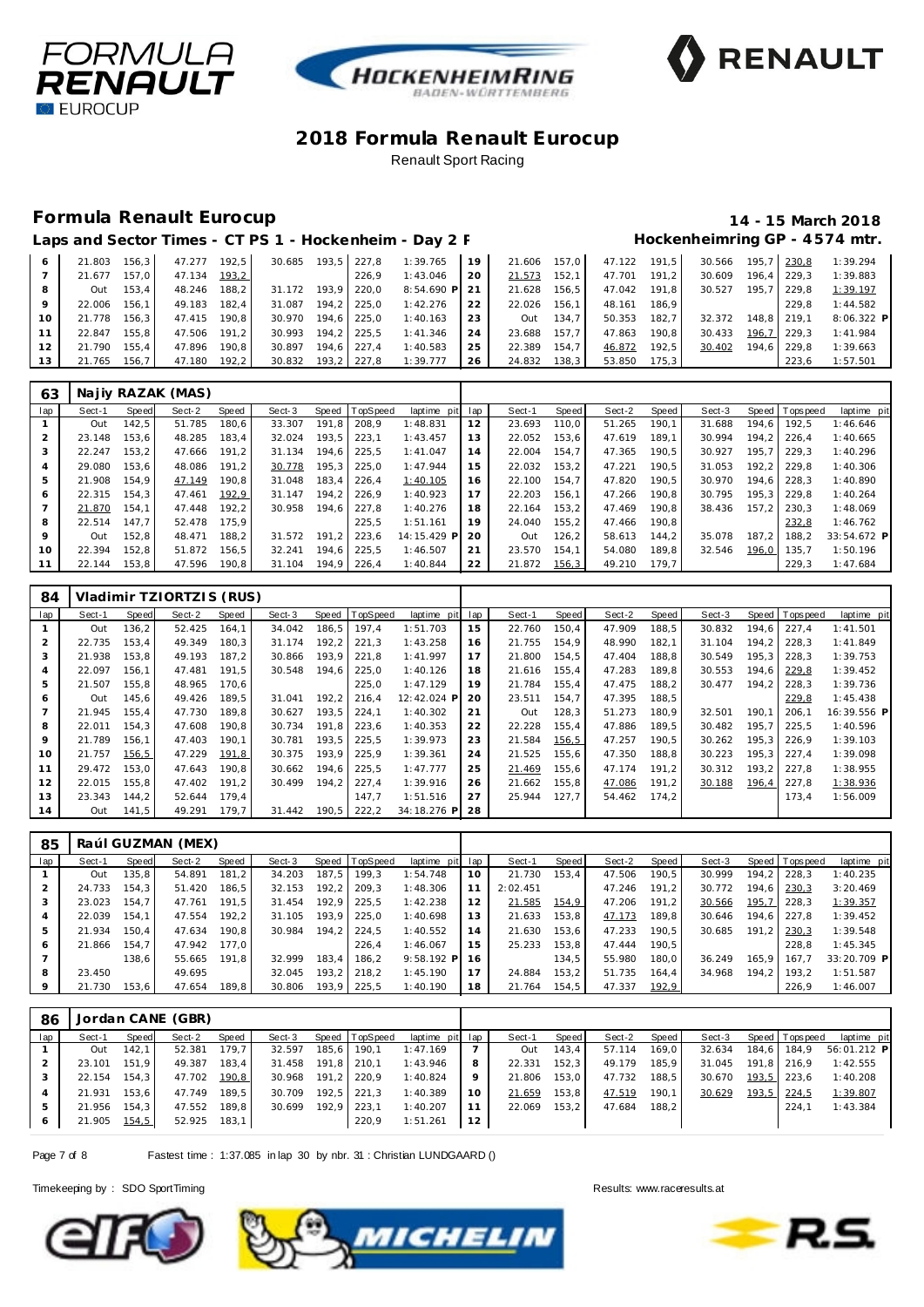





#### **Formula Renault Eurocup 14 - 15 March 2018**

|    |        |         |        |       |        |       |       | Laps and Sector Times - CT PS 1 - Hockenheim - Day 2 F |      |        |       |        |       |        |       |       | Hockenheimring GP - 4574 mtr. |
|----|--------|---------|--------|-------|--------|-------|-------|--------------------------------------------------------|------|--------|-------|--------|-------|--------|-------|-------|-------------------------------|
| 6  | 21.803 | 156.3   | 47.277 | 192.5 | 30.685 | 193.5 | 227.8 | 1:39.765                                               | 19   | 21.606 | 157.0 | 47.122 | 191.5 | 30.566 | 195.7 | 230.8 | 1:39.294                      |
|    | 21.677 | 157.O l | 47.134 | 193,2 |        |       | 226.9 | 1:43.046                                               | -20  | 21.573 | 152.1 | 47.701 | 191.2 | 30.609 | 196.4 | 229.3 | 1:39.883                      |
| 8  | Out    | 153.4   | 48.246 | 188.2 | 31.172 | 193.9 | 220.0 | $8:54.690$ P                                           | - 21 | 21.628 | 156.5 | 47.042 | 191.8 | 30.527 | 195.7 | 229.8 | 1:39.197                      |
| 9  | 22.006 | 156.1   | 49.183 | 182.4 | 31.087 | 194.2 | 225.0 | 1:42.276                                               | 22   | 22.026 | 156.1 | 48.161 | 186.9 |        |       | 229.8 | 1:44.582                      |
| 10 | 21.778 | 156.3   | 47.415 | 190.8 | 30.970 | 194.6 | 225.0 | 1:40.163                                               | 23   | Out    | 134.7 | 50.353 | 182.7 | 32.372 | 148.8 | 219.1 | $8:06.322$ P                  |
| 11 | 22.847 | 155.8   | 47.506 | 191.2 | 30.993 | 194.2 | 225.5 | 1:41.346                                               | 24   | 23.688 | 157.7 | 47.863 | 190.8 | 30.433 | 196.7 | 229.3 | 1:41.984                      |
| 12 | 21.790 | 155.4   | 47.896 | 190.8 | 30.897 | 194.6 | 227.4 | 1:40.583                                               | 25   | 22.389 | 154.7 | 46.872 | 192.5 | 30.402 | 194.6 | 229.8 | 1:39.663                      |
| 13 | 21.765 | 156.7   | 47.180 | 192.2 | 30.832 | 193.2 | 227.8 | 1:39.777                                               | 26   | 24.832 | 138.3 | 53.850 | 175.3 |        |       | 223.6 | 1:57.501                      |

| 63  |        |       | Najiy RAZAK (MAS) |       |        |       |          |             |     |        |       |        |       |        |       |                |             |
|-----|--------|-------|-------------------|-------|--------|-------|----------|-------------|-----|--------|-------|--------|-------|--------|-------|----------------|-------------|
| lap | Sect-1 | Speed | Sect-2            | Speed | Sect-3 | Speed | TopSpeed | laptime pit | lap | Sect-1 | Speed | Sect-2 | Speed | Sect-3 |       | Speed Topspeed | laptime pit |
|     | Out    | 142.5 | 51.785            | 180.6 | 33.307 | 191.8 | 208,9    | 1:48.831    | 12  | 23.693 | 110.0 | 51.265 | 190.1 | 31.688 | 194.6 | 192.5          | 1:46.646    |
|     | 23.148 | 153.6 | 48.285            | 183.4 | 32.024 | 193.5 | 223.1    | 1:43.457    | 13  | 22.052 | 153.6 | 47.619 | 189.1 | 30.994 | 194.2 | 226.4          | 1:40.665    |
|     | 22.247 | 153.2 | 47.666            | 191.2 | 31.134 | 194.6 | 225.5    | 1:41.047    | 14  | 22.004 | 154.7 | 47.365 | 190.5 | 30.927 | 195.7 | 229.3          | 1:40.296    |
|     | 29.080 | 153.6 | 48.086            | 191.2 | 30.778 | 195.3 | 225.0    | 1:47.944    | 15  | 22.032 | 153.2 | 47.221 | 190.5 | 31.053 | 192.2 | 229.8          | 1:40.306    |
|     | 21.908 | 154.9 | 47.149            | 190.8 | 31.048 | 183,4 | 226,4    | 1:40.105    | 16  | 22.100 | 154.7 | 47.820 | 190.5 | 30.970 | 194.6 | 228.3          | 1:40.890    |
| 6   | 22.315 | 154.3 | 47.461            | 192,9 | 31.147 | 194.2 | 226.9    | 1:40.923    | 17  | 22.203 | 156.1 | 47.266 | 190.8 | 30.795 | 195.3 | 229.8          | 1:40.264    |
|     | 21.870 | 154.1 | 47.448            | 192.2 | 30.958 | 194.6 | 227.8    | 1:40.276    | 18  | 22.164 | 153.2 | 47.469 | 190.8 | 38.436 | 157.2 | 230.3          | 1:48.069    |
| 8   | 22.514 | 147.7 | 52.478            | 175.9 |        |       | 225.5    | 1:51.161    | 19  | 24.040 | 155.2 | 47.466 | 190.8 |        |       | 232,8          | 1:46.762    |
| 9   | Out    | 152.8 | 48.471            | 188.2 | 31.572 | 191.2 | 223.6    | 14:15.429 P | 20  | Out    | 126.2 | 58.613 | 144.2 | 35.078 | 187.2 | 188.2          | 33:54.672 P |
| 10  | 22.394 | 152.8 | 51.872            | 156.5 | 32.241 | 194.6 | 225,5    | 1:46.507    | 21  | 23.570 | 154.1 | 54.080 | 189,8 | 32.546 | 196,0 | 135.7          | 1:50.196    |
|     | 22.144 | 153,8 | 47.596            | 190,8 | 31.104 | 194,9 | 226,4    | 1:40.844    | 22  | 21.872 | 156,3 | 49.210 | 179,7 |        |       | 229,3          | 1:47.684    |

| 84  |        |       | Vladimir TZIORTZIS (RUS) |       |        |         |                |                |     |        |        |        |        |        |       |                |             |
|-----|--------|-------|--------------------------|-------|--------|---------|----------------|----------------|-----|--------|--------|--------|--------|--------|-------|----------------|-------------|
| lap | Sect-1 | Speed | Sect-2                   | Speed | Sect-3 |         | Speed TopSpeed | laptime pit    | lap | Sect-1 | Speed  | Sect-2 | Speed  | Sect-3 |       | Speed Topspeed | laptime pit |
|     | Out    | 136,2 | 52.425                   | 164.1 | 34.042 | 186,5   | 197.4          | 1:51.703       | 15  | 22.760 | 150.4  | 47.909 | 188,5  | 30.832 | 194.6 | 227.4          | 1:41.501    |
| 2   | 22.735 | 153.4 | 49.349                   | 180.3 | 31.174 | 192.2   | 221.3          | 1:43.258       | 16  | 21.755 | 154.9  | 48.990 | 182.1  | 31.104 | 194.2 | 228.3          | 1:41.849    |
| 3   | 21.938 | 153.8 | 49.193                   | 187,2 | 30.866 | 193.9   | 221,8          | 1:41.997       | 17  | 21.800 | 154.5  | 47.404 | 188, 8 | 30.549 | 195,3 | 228.3          | 1:39.753    |
| 4   | 22.097 | 156.1 | 47.481                   | 191,5 | 30.548 | 194.6   | 225,0          | 1:40.126       | 18  | 21.616 | 155.4  | 47.283 | 189.8  | 30.553 | 194.6 | 229.8          | 1:39.452    |
| 5   | 21.507 | 155.8 | 48.965                   | 170.6 |        |         | 225.0          | 1:47.129       | 19  | 21.784 | 155.4  | 47.475 | 188.2  | 30.477 | 194.2 | 228.3          | 1:39.736    |
| 6   | Out    | 145.6 | 49.426                   | 189.5 | 31.041 | 192.2   | 216.4          | 12:42.024 P    | 20  | 23.511 | 154.7  | 47.395 | 188,5  |        |       | 229,8          | 1:45.438    |
|     | 21.945 | 155.4 | 47.730                   | 189.8 | 30.627 | 193,5   | 224,1          | 1:40.302       | 21  | Out    | 128,3  | 51.273 | 180.9  | 32.501 | 190.1 | 206.1          | 16:39.556 P |
| 8   | 22.011 | 154.3 | 47.608                   | 190.8 | 30.734 | 191.8   | 223,6          | 1:40.353       | 22  | 22.228 | 155.4  | 47.886 | 189.5  | 30.482 | 195.7 | 225.5          | 1:40.596    |
| 9   | 21.789 | 156.1 | 47.403                   | 190.1 | 30.781 | 193.5   | 225,5          | 1:39.973       | 23  | 21.584 | 156, 5 | 47.257 | 190.5  | 30.262 | 195.3 | 226.9          | 1:39.103    |
| 10  | 21.757 | 156,5 | 47.229                   | 191,8 | 30.375 | 193.9   | 225,9          | 1:39.361       | 24  | 21.525 | 155.6  | 47.350 | 188,8  | 30.223 | 195.3 | 227.4          | 1:39.098    |
| 11  | 29.472 | 153.0 | 47.643                   | 190.8 | 30.662 | 194.6   | 225,5          | 1:47.777       | 25  | 21.469 | 155,6  | 47.174 | 191.2  | 30.312 | 193.2 | 227.8          | 1:38.955    |
| 12  | 22.015 | 155.8 | 47.402                   | 191.2 | 30.499 | 194.2   | 227.4          | 1:39.916       | 26  | 21.662 | 155.8  | 47.086 | 191.2  | 30.188 | 196,4 | 227,8          | 1:38.936    |
| 13  | 23.343 | 144.2 | 52.644                   | 179.4 |        |         | 147.7          | 1:51.516       | 27  | 25.944 | 127.7  | 54.462 | 174.2  |        |       | 173,4          | 1:56.009    |
| 14  | Out    | 141.5 | 49.291 179.7             |       | 31.442 | $190.5$ | 222,2          | 34:18.276 P 28 |     |        |        |        |        |        |       |                |             |

| 85  |        |       | Raúl GUZMAN (MEX) |       |        |        |                  |                 |     |          |       |        |       |        |       |                 |             |
|-----|--------|-------|-------------------|-------|--------|--------|------------------|-----------------|-----|----------|-------|--------|-------|--------|-------|-----------------|-------------|
| lap | Sect-1 | Speed | Sect-2            | Speed | Sect-3 |        | Speed   TopSpeed | laptime pit lap |     | Sect-1   | Speed | Sect-2 | Speed | Sect-3 |       | Speed Tops peed | laptime pit |
|     | Out    | 135.8 | 54.891            | 181.2 | 34.203 | 187.5  | 199.3            | 1:54.748        | 10  | 21.730   | 153.4 | 47.506 | 190.5 | 30.999 |       | 194.2 228.3     | 1:40.235    |
|     | 24.733 | 154.3 | 51.420            | 186.5 | 32.153 | 192, 2 | 209.3            | 1:48.306        |     | 2:02.451 |       | 47.246 | 191.2 | 30.772 | 194.6 | 230,3           | 3:20.469    |
|     | 23.023 | 154.7 | 47.761            | 191.5 | 31.454 | 192.9  | 225.5            | 1:42.238        |     | 21.585   | 154,9 | 47.206 | 191.2 | 30.566 | 195,7 | 228.3           | 1:39.357    |
| 4   | 22.039 | 154.1 | 47.554            | 192.2 | 31.105 | 193.9  | 225.0            | 1:40.698        | 13  | 21.633   | 153.8 | 47.173 | 189.8 | 30.646 |       | 194.6 227.8     | 1:39.452    |
| 5   | 21.934 | 150.4 | 47.634            | 190.8 | 30.984 | 194.2  | 224.5            | 1:40.552        | 14  | 21.630   | 153.6 | 47.233 | 190.5 | 30.685 | 191.2 | 230,3           | 1:39.548    |
| 6   | 21.866 | 154.7 | 47.942            | 177.0 |        |        | 226.4            | 1:46.067        | 15  | 25.233   | 153.8 | 47.444 | 190.5 |        |       | 228.8           | 1:45.345    |
|     |        | 138.6 | 55.665            | 191.8 | 32.999 | 183.4  | 186.2            | $9:58.192$ P    | -16 |          | 134.5 | 55.980 | 180.0 | 36.249 | 165.9 | 167.7           | 33:20.709 P |
| 8   | 23.450 |       | 49.695            |       | 32.045 | 193.2  | 218.2            | 1:45.190        | 17  | 24.884   | 153.2 | 51.735 | 164.4 | 34.968 | 194.2 | 193.2           | 1:51.587    |
| 9   | 21.730 | 153.6 | 47.654            | 189.8 | 30.806 |        | 193,9 225,5      | 1:40.190        | 18  | 21.764   | 154.5 | 47.337 | 192,9 |        |       | 226.9           | 1:46.007    |

| 86  |        |       | Jordan CANE (GBR) |       |        |                |             |     |        |       |        |       |        |       |                  |             |
|-----|--------|-------|-------------------|-------|--------|----------------|-------------|-----|--------|-------|--------|-------|--------|-------|------------------|-------------|
| lap | Sect-1 | Speed | Sect-2            | Speed | Sect-3 | Speed TopSpeed | laptime pit | lap | Sect-1 | Speed | Sect-2 | Speed | Sect-3 | Speed | <b>Tops peed</b> | laptime pit |
|     | Out    | 142.1 | 52.381            | 179.7 | 32.597 | 185,6 190,1    | 1:47.169    |     | Out    | 143.4 | 57.114 | 169.0 | 32.634 | 184.6 | 184.9            | 56:01.212 P |
|     | 23.101 | 151.9 | 49.387            | 183.4 | 31.458 | 191,8 210,1    | 1:43.946    | 8   | 22.331 | 152.3 | 49.179 | 185.9 | 31.045 | 191.8 | 216.9            | 1:42.555    |
|     | 22.154 | 154.3 | 47.702            | 190,8 | 30.968 | 191,2 220,9    | 1:40.824    | 9   | 21.806 | 153.0 | 47.732 | 188.5 | 30.670 | 193,5 | 223.6            | 1:40.208    |
|     | 21.931 | 153.6 | 47.749            | 189.5 | 30.709 | $192,5$ 221,3  | 1:40.389    | 10  | 21.659 | 153,8 | 47.519 | 190,1 | 30.629 | 193,5 | 224,5            | 1:39.807    |
|     | 21.956 | 154.3 | 47.552            | 189,8 | 30.699 | 192,9 223,1    | 1:40.207    | 11  | 22.069 | 153,2 | 47.684 | 188,2 |        |       | 224.7            | 1:43.384    |
|     | 21.905 | 154,5 | 52.925            | 183,1 |        | 220,9          | 1:51.261    | 12  |        |       |        |       |        |       |                  |             |

Page 7 of 8 Fastest time : 1:37.085 in lap 30 by nbr. 31 : Christian LUNDGAARD ()